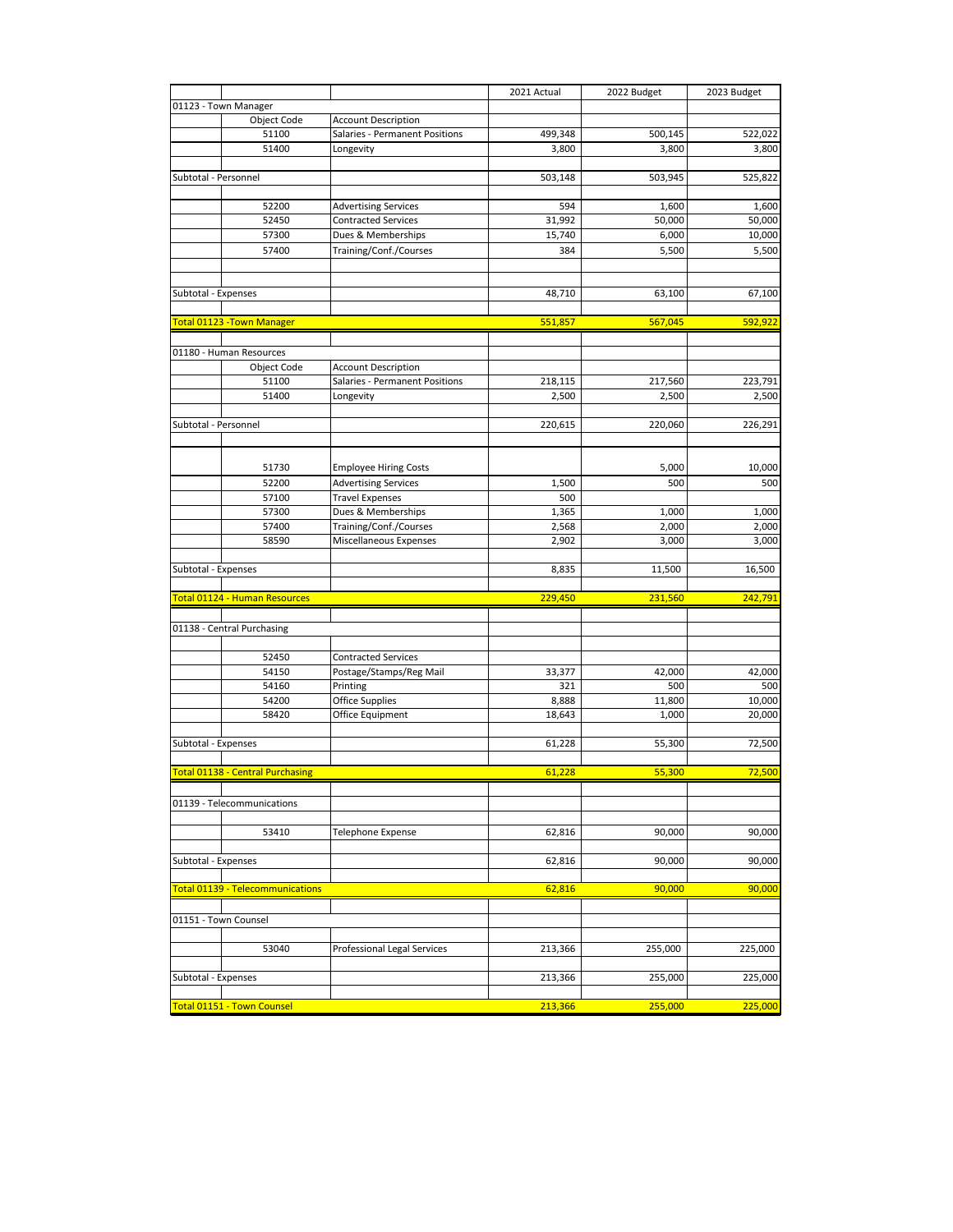| 01123 - Town Manager<br>Object Code<br><b>Account Description</b><br>499,348<br>500,145<br>522,022<br>51100<br>Salaries - Permanent Positions<br>51400<br>3,800<br>3,800<br>3,800<br>Longevity<br>Subtotal - Personnel<br>503,148<br>503,945<br>525,822<br>52200<br>1,600<br><b>Advertising Services</b><br>594<br>1,600<br>52450<br>31,992<br>50,000<br>50,000<br><b>Contracted Services</b><br>57300<br>Dues & Memberships<br>15,740<br>6,000<br>10,000<br>57400<br>Training/Conf./Courses<br>5,500<br>384<br>5,500<br>67,100<br>Subtotal - Expenses<br>48,710<br>63,100<br><b>Total 01123 - Town Manager</b><br>551,857<br>567,045<br>592,922<br>01180 - Human Resources<br><b>Account Description</b><br>Object Code<br>Salaries - Permanent Positions<br>51100<br>218,115<br>217,560<br>51400<br>2,500<br>2,500<br>Longevity<br>Subtotal - Personnel<br>220,615<br>220,060<br>51730<br><b>Employee Hiring Costs</b><br>5,000<br>10,000<br>52200<br>500<br>500<br><b>Advertising Services</b><br>1,500<br>57100<br><b>Travel Expenses</b><br>500<br>57300<br>Dues & Memberships<br>1,365<br>1,000<br>1,000<br>57400<br>Training/Conf./Courses<br>2,568<br>2,000<br>2,000<br>58590<br>Miscellaneous Expenses<br>2,902<br>3,000<br>3,000<br>Subtotal - Expenses<br>11,500<br>16,500<br>8,835<br>Total 01124 - Human Resources<br>229,450<br>231,560<br>242,791<br>01138 - Central Purchasing<br>52450<br><b>Contracted Services</b><br>54150<br>Postage/Stamps/Reg Mail<br>33,377<br>42,000<br>Printing<br>54160<br>321<br>500<br><b>Office Supplies</b><br>54200<br>8,888<br>11,800<br>58420<br>Office Equipment<br>18,643<br>1,000<br>Subtotal - Expenses<br>61,228<br>55,300<br><b>Total 01138 - Central Purchasing</b><br>61,228<br>55,300<br>01139 - Telecommunications<br>90,000<br>53410<br>Telephone Expense<br>62,816<br>90,000<br>Subtotal - Expenses<br>62,816<br>90,000<br>90,000<br>Total 01139 - Telecommunications<br>62,816<br>90,000<br>90,000<br>01151 - Town Counsel<br>Professional Legal Services<br>255,000<br>53040<br>213,366<br>Subtotal - Expenses<br>213,366<br>255,000<br>Total 01151 - Town Counsel<br>213,366<br>255,000 |  | 2021 Actual | 2022 Budget | 2023 Budget |
|----------------------------------------------------------------------------------------------------------------------------------------------------------------------------------------------------------------------------------------------------------------------------------------------------------------------------------------------------------------------------------------------------------------------------------------------------------------------------------------------------------------------------------------------------------------------------------------------------------------------------------------------------------------------------------------------------------------------------------------------------------------------------------------------------------------------------------------------------------------------------------------------------------------------------------------------------------------------------------------------------------------------------------------------------------------------------------------------------------------------------------------------------------------------------------------------------------------------------------------------------------------------------------------------------------------------------------------------------------------------------------------------------------------------------------------------------------------------------------------------------------------------------------------------------------------------------------------------------------------------------------------------------------------------------------------------------------------------------------------------------------------------------------------------------------------------------------------------------------------------------------------------------------------------------------------------------------------------------------------------------------------------------------------------------------------------------------------------------------------------------------------------------------|--|-------------|-------------|-------------|
|                                                                                                                                                                                                                                                                                                                                                                                                                                                                                                                                                                                                                                                                                                                                                                                                                                                                                                                                                                                                                                                                                                                                                                                                                                                                                                                                                                                                                                                                                                                                                                                                                                                                                                                                                                                                                                                                                                                                                                                                                                                                                                                                                          |  |             |             |             |
|                                                                                                                                                                                                                                                                                                                                                                                                                                                                                                                                                                                                                                                                                                                                                                                                                                                                                                                                                                                                                                                                                                                                                                                                                                                                                                                                                                                                                                                                                                                                                                                                                                                                                                                                                                                                                                                                                                                                                                                                                                                                                                                                                          |  |             |             |             |
|                                                                                                                                                                                                                                                                                                                                                                                                                                                                                                                                                                                                                                                                                                                                                                                                                                                                                                                                                                                                                                                                                                                                                                                                                                                                                                                                                                                                                                                                                                                                                                                                                                                                                                                                                                                                                                                                                                                                                                                                                                                                                                                                                          |  |             |             |             |
|                                                                                                                                                                                                                                                                                                                                                                                                                                                                                                                                                                                                                                                                                                                                                                                                                                                                                                                                                                                                                                                                                                                                                                                                                                                                                                                                                                                                                                                                                                                                                                                                                                                                                                                                                                                                                                                                                                                                                                                                                                                                                                                                                          |  |             |             |             |
|                                                                                                                                                                                                                                                                                                                                                                                                                                                                                                                                                                                                                                                                                                                                                                                                                                                                                                                                                                                                                                                                                                                                                                                                                                                                                                                                                                                                                                                                                                                                                                                                                                                                                                                                                                                                                                                                                                                                                                                                                                                                                                                                                          |  |             |             |             |
|                                                                                                                                                                                                                                                                                                                                                                                                                                                                                                                                                                                                                                                                                                                                                                                                                                                                                                                                                                                                                                                                                                                                                                                                                                                                                                                                                                                                                                                                                                                                                                                                                                                                                                                                                                                                                                                                                                                                                                                                                                                                                                                                                          |  |             |             |             |
|                                                                                                                                                                                                                                                                                                                                                                                                                                                                                                                                                                                                                                                                                                                                                                                                                                                                                                                                                                                                                                                                                                                                                                                                                                                                                                                                                                                                                                                                                                                                                                                                                                                                                                                                                                                                                                                                                                                                                                                                                                                                                                                                                          |  |             |             |             |
|                                                                                                                                                                                                                                                                                                                                                                                                                                                                                                                                                                                                                                                                                                                                                                                                                                                                                                                                                                                                                                                                                                                                                                                                                                                                                                                                                                                                                                                                                                                                                                                                                                                                                                                                                                                                                                                                                                                                                                                                                                                                                                                                                          |  |             |             |             |
|                                                                                                                                                                                                                                                                                                                                                                                                                                                                                                                                                                                                                                                                                                                                                                                                                                                                                                                                                                                                                                                                                                                                                                                                                                                                                                                                                                                                                                                                                                                                                                                                                                                                                                                                                                                                                                                                                                                                                                                                                                                                                                                                                          |  |             |             |             |
|                                                                                                                                                                                                                                                                                                                                                                                                                                                                                                                                                                                                                                                                                                                                                                                                                                                                                                                                                                                                                                                                                                                                                                                                                                                                                                                                                                                                                                                                                                                                                                                                                                                                                                                                                                                                                                                                                                                                                                                                                                                                                                                                                          |  |             |             |             |
|                                                                                                                                                                                                                                                                                                                                                                                                                                                                                                                                                                                                                                                                                                                                                                                                                                                                                                                                                                                                                                                                                                                                                                                                                                                                                                                                                                                                                                                                                                                                                                                                                                                                                                                                                                                                                                                                                                                                                                                                                                                                                                                                                          |  |             |             |             |
|                                                                                                                                                                                                                                                                                                                                                                                                                                                                                                                                                                                                                                                                                                                                                                                                                                                                                                                                                                                                                                                                                                                                                                                                                                                                                                                                                                                                                                                                                                                                                                                                                                                                                                                                                                                                                                                                                                                                                                                                                                                                                                                                                          |  |             |             |             |
|                                                                                                                                                                                                                                                                                                                                                                                                                                                                                                                                                                                                                                                                                                                                                                                                                                                                                                                                                                                                                                                                                                                                                                                                                                                                                                                                                                                                                                                                                                                                                                                                                                                                                                                                                                                                                                                                                                                                                                                                                                                                                                                                                          |  |             |             |             |
|                                                                                                                                                                                                                                                                                                                                                                                                                                                                                                                                                                                                                                                                                                                                                                                                                                                                                                                                                                                                                                                                                                                                                                                                                                                                                                                                                                                                                                                                                                                                                                                                                                                                                                                                                                                                                                                                                                                                                                                                                                                                                                                                                          |  |             |             |             |
|                                                                                                                                                                                                                                                                                                                                                                                                                                                                                                                                                                                                                                                                                                                                                                                                                                                                                                                                                                                                                                                                                                                                                                                                                                                                                                                                                                                                                                                                                                                                                                                                                                                                                                                                                                                                                                                                                                                                                                                                                                                                                                                                                          |  |             |             |             |
|                                                                                                                                                                                                                                                                                                                                                                                                                                                                                                                                                                                                                                                                                                                                                                                                                                                                                                                                                                                                                                                                                                                                                                                                                                                                                                                                                                                                                                                                                                                                                                                                                                                                                                                                                                                                                                                                                                                                                                                                                                                                                                                                                          |  |             |             |             |
|                                                                                                                                                                                                                                                                                                                                                                                                                                                                                                                                                                                                                                                                                                                                                                                                                                                                                                                                                                                                                                                                                                                                                                                                                                                                                                                                                                                                                                                                                                                                                                                                                                                                                                                                                                                                                                                                                                                                                                                                                                                                                                                                                          |  |             |             |             |
|                                                                                                                                                                                                                                                                                                                                                                                                                                                                                                                                                                                                                                                                                                                                                                                                                                                                                                                                                                                                                                                                                                                                                                                                                                                                                                                                                                                                                                                                                                                                                                                                                                                                                                                                                                                                                                                                                                                                                                                                                                                                                                                                                          |  |             |             |             |
|                                                                                                                                                                                                                                                                                                                                                                                                                                                                                                                                                                                                                                                                                                                                                                                                                                                                                                                                                                                                                                                                                                                                                                                                                                                                                                                                                                                                                                                                                                                                                                                                                                                                                                                                                                                                                                                                                                                                                                                                                                                                                                                                                          |  |             |             |             |
|                                                                                                                                                                                                                                                                                                                                                                                                                                                                                                                                                                                                                                                                                                                                                                                                                                                                                                                                                                                                                                                                                                                                                                                                                                                                                                                                                                                                                                                                                                                                                                                                                                                                                                                                                                                                                                                                                                                                                                                                                                                                                                                                                          |  |             |             |             |
|                                                                                                                                                                                                                                                                                                                                                                                                                                                                                                                                                                                                                                                                                                                                                                                                                                                                                                                                                                                                                                                                                                                                                                                                                                                                                                                                                                                                                                                                                                                                                                                                                                                                                                                                                                                                                                                                                                                                                                                                                                                                                                                                                          |  |             |             | 223,791     |
|                                                                                                                                                                                                                                                                                                                                                                                                                                                                                                                                                                                                                                                                                                                                                                                                                                                                                                                                                                                                                                                                                                                                                                                                                                                                                                                                                                                                                                                                                                                                                                                                                                                                                                                                                                                                                                                                                                                                                                                                                                                                                                                                                          |  |             |             | 2,500       |
|                                                                                                                                                                                                                                                                                                                                                                                                                                                                                                                                                                                                                                                                                                                                                                                                                                                                                                                                                                                                                                                                                                                                                                                                                                                                                                                                                                                                                                                                                                                                                                                                                                                                                                                                                                                                                                                                                                                                                                                                                                                                                                                                                          |  |             |             |             |
|                                                                                                                                                                                                                                                                                                                                                                                                                                                                                                                                                                                                                                                                                                                                                                                                                                                                                                                                                                                                                                                                                                                                                                                                                                                                                                                                                                                                                                                                                                                                                                                                                                                                                                                                                                                                                                                                                                                                                                                                                                                                                                                                                          |  |             |             | 226,291     |
|                                                                                                                                                                                                                                                                                                                                                                                                                                                                                                                                                                                                                                                                                                                                                                                                                                                                                                                                                                                                                                                                                                                                                                                                                                                                                                                                                                                                                                                                                                                                                                                                                                                                                                                                                                                                                                                                                                                                                                                                                                                                                                                                                          |  |             |             |             |
|                                                                                                                                                                                                                                                                                                                                                                                                                                                                                                                                                                                                                                                                                                                                                                                                                                                                                                                                                                                                                                                                                                                                                                                                                                                                                                                                                                                                                                                                                                                                                                                                                                                                                                                                                                                                                                                                                                                                                                                                                                                                                                                                                          |  |             |             |             |
|                                                                                                                                                                                                                                                                                                                                                                                                                                                                                                                                                                                                                                                                                                                                                                                                                                                                                                                                                                                                                                                                                                                                                                                                                                                                                                                                                                                                                                                                                                                                                                                                                                                                                                                                                                                                                                                                                                                                                                                                                                                                                                                                                          |  |             |             |             |
|                                                                                                                                                                                                                                                                                                                                                                                                                                                                                                                                                                                                                                                                                                                                                                                                                                                                                                                                                                                                                                                                                                                                                                                                                                                                                                                                                                                                                                                                                                                                                                                                                                                                                                                                                                                                                                                                                                                                                                                                                                                                                                                                                          |  |             |             |             |
|                                                                                                                                                                                                                                                                                                                                                                                                                                                                                                                                                                                                                                                                                                                                                                                                                                                                                                                                                                                                                                                                                                                                                                                                                                                                                                                                                                                                                                                                                                                                                                                                                                                                                                                                                                                                                                                                                                                                                                                                                                                                                                                                                          |  |             |             |             |
|                                                                                                                                                                                                                                                                                                                                                                                                                                                                                                                                                                                                                                                                                                                                                                                                                                                                                                                                                                                                                                                                                                                                                                                                                                                                                                                                                                                                                                                                                                                                                                                                                                                                                                                                                                                                                                                                                                                                                                                                                                                                                                                                                          |  |             |             |             |
|                                                                                                                                                                                                                                                                                                                                                                                                                                                                                                                                                                                                                                                                                                                                                                                                                                                                                                                                                                                                                                                                                                                                                                                                                                                                                                                                                                                                                                                                                                                                                                                                                                                                                                                                                                                                                                                                                                                                                                                                                                                                                                                                                          |  |             |             |             |
|                                                                                                                                                                                                                                                                                                                                                                                                                                                                                                                                                                                                                                                                                                                                                                                                                                                                                                                                                                                                                                                                                                                                                                                                                                                                                                                                                                                                                                                                                                                                                                                                                                                                                                                                                                                                                                                                                                                                                                                                                                                                                                                                                          |  |             |             |             |
|                                                                                                                                                                                                                                                                                                                                                                                                                                                                                                                                                                                                                                                                                                                                                                                                                                                                                                                                                                                                                                                                                                                                                                                                                                                                                                                                                                                                                                                                                                                                                                                                                                                                                                                                                                                                                                                                                                                                                                                                                                                                                                                                                          |  |             |             |             |
|                                                                                                                                                                                                                                                                                                                                                                                                                                                                                                                                                                                                                                                                                                                                                                                                                                                                                                                                                                                                                                                                                                                                                                                                                                                                                                                                                                                                                                                                                                                                                                                                                                                                                                                                                                                                                                                                                                                                                                                                                                                                                                                                                          |  |             |             |             |
|                                                                                                                                                                                                                                                                                                                                                                                                                                                                                                                                                                                                                                                                                                                                                                                                                                                                                                                                                                                                                                                                                                                                                                                                                                                                                                                                                                                                                                                                                                                                                                                                                                                                                                                                                                                                                                                                                                                                                                                                                                                                                                                                                          |  |             |             |             |
|                                                                                                                                                                                                                                                                                                                                                                                                                                                                                                                                                                                                                                                                                                                                                                                                                                                                                                                                                                                                                                                                                                                                                                                                                                                                                                                                                                                                                                                                                                                                                                                                                                                                                                                                                                                                                                                                                                                                                                                                                                                                                                                                                          |  |             |             |             |
|                                                                                                                                                                                                                                                                                                                                                                                                                                                                                                                                                                                                                                                                                                                                                                                                                                                                                                                                                                                                                                                                                                                                                                                                                                                                                                                                                                                                                                                                                                                                                                                                                                                                                                                                                                                                                                                                                                                                                                                                                                                                                                                                                          |  |             |             |             |
|                                                                                                                                                                                                                                                                                                                                                                                                                                                                                                                                                                                                                                                                                                                                                                                                                                                                                                                                                                                                                                                                                                                                                                                                                                                                                                                                                                                                                                                                                                                                                                                                                                                                                                                                                                                                                                                                                                                                                                                                                                                                                                                                                          |  |             |             |             |
|                                                                                                                                                                                                                                                                                                                                                                                                                                                                                                                                                                                                                                                                                                                                                                                                                                                                                                                                                                                                                                                                                                                                                                                                                                                                                                                                                                                                                                                                                                                                                                                                                                                                                                                                                                                                                                                                                                                                                                                                                                                                                                                                                          |  |             |             |             |
|                                                                                                                                                                                                                                                                                                                                                                                                                                                                                                                                                                                                                                                                                                                                                                                                                                                                                                                                                                                                                                                                                                                                                                                                                                                                                                                                                                                                                                                                                                                                                                                                                                                                                                                                                                                                                                                                                                                                                                                                                                                                                                                                                          |  |             |             |             |
|                                                                                                                                                                                                                                                                                                                                                                                                                                                                                                                                                                                                                                                                                                                                                                                                                                                                                                                                                                                                                                                                                                                                                                                                                                                                                                                                                                                                                                                                                                                                                                                                                                                                                                                                                                                                                                                                                                                                                                                                                                                                                                                                                          |  |             |             |             |
|                                                                                                                                                                                                                                                                                                                                                                                                                                                                                                                                                                                                                                                                                                                                                                                                                                                                                                                                                                                                                                                                                                                                                                                                                                                                                                                                                                                                                                                                                                                                                                                                                                                                                                                                                                                                                                                                                                                                                                                                                                                                                                                                                          |  |             |             | 42,000      |
|                                                                                                                                                                                                                                                                                                                                                                                                                                                                                                                                                                                                                                                                                                                                                                                                                                                                                                                                                                                                                                                                                                                                                                                                                                                                                                                                                                                                                                                                                                                                                                                                                                                                                                                                                                                                                                                                                                                                                                                                                                                                                                                                                          |  |             |             | 500         |
|                                                                                                                                                                                                                                                                                                                                                                                                                                                                                                                                                                                                                                                                                                                                                                                                                                                                                                                                                                                                                                                                                                                                                                                                                                                                                                                                                                                                                                                                                                                                                                                                                                                                                                                                                                                                                                                                                                                                                                                                                                                                                                                                                          |  |             |             | 10,000      |
|                                                                                                                                                                                                                                                                                                                                                                                                                                                                                                                                                                                                                                                                                                                                                                                                                                                                                                                                                                                                                                                                                                                                                                                                                                                                                                                                                                                                                                                                                                                                                                                                                                                                                                                                                                                                                                                                                                                                                                                                                                                                                                                                                          |  |             |             | 20,000      |
|                                                                                                                                                                                                                                                                                                                                                                                                                                                                                                                                                                                                                                                                                                                                                                                                                                                                                                                                                                                                                                                                                                                                                                                                                                                                                                                                                                                                                                                                                                                                                                                                                                                                                                                                                                                                                                                                                                                                                                                                                                                                                                                                                          |  |             |             |             |
|                                                                                                                                                                                                                                                                                                                                                                                                                                                                                                                                                                                                                                                                                                                                                                                                                                                                                                                                                                                                                                                                                                                                                                                                                                                                                                                                                                                                                                                                                                                                                                                                                                                                                                                                                                                                                                                                                                                                                                                                                                                                                                                                                          |  |             |             | 72,500      |
|                                                                                                                                                                                                                                                                                                                                                                                                                                                                                                                                                                                                                                                                                                                                                                                                                                                                                                                                                                                                                                                                                                                                                                                                                                                                                                                                                                                                                                                                                                                                                                                                                                                                                                                                                                                                                                                                                                                                                                                                                                                                                                                                                          |  |             |             |             |
|                                                                                                                                                                                                                                                                                                                                                                                                                                                                                                                                                                                                                                                                                                                                                                                                                                                                                                                                                                                                                                                                                                                                                                                                                                                                                                                                                                                                                                                                                                                                                                                                                                                                                                                                                                                                                                                                                                                                                                                                                                                                                                                                                          |  |             |             | 72,500      |
|                                                                                                                                                                                                                                                                                                                                                                                                                                                                                                                                                                                                                                                                                                                                                                                                                                                                                                                                                                                                                                                                                                                                                                                                                                                                                                                                                                                                                                                                                                                                                                                                                                                                                                                                                                                                                                                                                                                                                                                                                                                                                                                                                          |  |             |             |             |
|                                                                                                                                                                                                                                                                                                                                                                                                                                                                                                                                                                                                                                                                                                                                                                                                                                                                                                                                                                                                                                                                                                                                                                                                                                                                                                                                                                                                                                                                                                                                                                                                                                                                                                                                                                                                                                                                                                                                                                                                                                                                                                                                                          |  |             |             |             |
|                                                                                                                                                                                                                                                                                                                                                                                                                                                                                                                                                                                                                                                                                                                                                                                                                                                                                                                                                                                                                                                                                                                                                                                                                                                                                                                                                                                                                                                                                                                                                                                                                                                                                                                                                                                                                                                                                                                                                                                                                                                                                                                                                          |  |             |             |             |
|                                                                                                                                                                                                                                                                                                                                                                                                                                                                                                                                                                                                                                                                                                                                                                                                                                                                                                                                                                                                                                                                                                                                                                                                                                                                                                                                                                                                                                                                                                                                                                                                                                                                                                                                                                                                                                                                                                                                                                                                                                                                                                                                                          |  |             |             |             |
|                                                                                                                                                                                                                                                                                                                                                                                                                                                                                                                                                                                                                                                                                                                                                                                                                                                                                                                                                                                                                                                                                                                                                                                                                                                                                                                                                                                                                                                                                                                                                                                                                                                                                                                                                                                                                                                                                                                                                                                                                                                                                                                                                          |  |             |             |             |
|                                                                                                                                                                                                                                                                                                                                                                                                                                                                                                                                                                                                                                                                                                                                                                                                                                                                                                                                                                                                                                                                                                                                                                                                                                                                                                                                                                                                                                                                                                                                                                                                                                                                                                                                                                                                                                                                                                                                                                                                                                                                                                                                                          |  |             |             |             |
|                                                                                                                                                                                                                                                                                                                                                                                                                                                                                                                                                                                                                                                                                                                                                                                                                                                                                                                                                                                                                                                                                                                                                                                                                                                                                                                                                                                                                                                                                                                                                                                                                                                                                                                                                                                                                                                                                                                                                                                                                                                                                                                                                          |  |             |             |             |
|                                                                                                                                                                                                                                                                                                                                                                                                                                                                                                                                                                                                                                                                                                                                                                                                                                                                                                                                                                                                                                                                                                                                                                                                                                                                                                                                                                                                                                                                                                                                                                                                                                                                                                                                                                                                                                                                                                                                                                                                                                                                                                                                                          |  |             |             |             |
|                                                                                                                                                                                                                                                                                                                                                                                                                                                                                                                                                                                                                                                                                                                                                                                                                                                                                                                                                                                                                                                                                                                                                                                                                                                                                                                                                                                                                                                                                                                                                                                                                                                                                                                                                                                                                                                                                                                                                                                                                                                                                                                                                          |  |             |             |             |
|                                                                                                                                                                                                                                                                                                                                                                                                                                                                                                                                                                                                                                                                                                                                                                                                                                                                                                                                                                                                                                                                                                                                                                                                                                                                                                                                                                                                                                                                                                                                                                                                                                                                                                                                                                                                                                                                                                                                                                                                                                                                                                                                                          |  |             |             |             |
|                                                                                                                                                                                                                                                                                                                                                                                                                                                                                                                                                                                                                                                                                                                                                                                                                                                                                                                                                                                                                                                                                                                                                                                                                                                                                                                                                                                                                                                                                                                                                                                                                                                                                                                                                                                                                                                                                                                                                                                                                                                                                                                                                          |  |             |             |             |
|                                                                                                                                                                                                                                                                                                                                                                                                                                                                                                                                                                                                                                                                                                                                                                                                                                                                                                                                                                                                                                                                                                                                                                                                                                                                                                                                                                                                                                                                                                                                                                                                                                                                                                                                                                                                                                                                                                                                                                                                                                                                                                                                                          |  |             |             |             |
|                                                                                                                                                                                                                                                                                                                                                                                                                                                                                                                                                                                                                                                                                                                                                                                                                                                                                                                                                                                                                                                                                                                                                                                                                                                                                                                                                                                                                                                                                                                                                                                                                                                                                                                                                                                                                                                                                                                                                                                                                                                                                                                                                          |  |             |             | 225,000     |
|                                                                                                                                                                                                                                                                                                                                                                                                                                                                                                                                                                                                                                                                                                                                                                                                                                                                                                                                                                                                                                                                                                                                                                                                                                                                                                                                                                                                                                                                                                                                                                                                                                                                                                                                                                                                                                                                                                                                                                                                                                                                                                                                                          |  |             |             |             |
|                                                                                                                                                                                                                                                                                                                                                                                                                                                                                                                                                                                                                                                                                                                                                                                                                                                                                                                                                                                                                                                                                                                                                                                                                                                                                                                                                                                                                                                                                                                                                                                                                                                                                                                                                                                                                                                                                                                                                                                                                                                                                                                                                          |  |             |             | 225,000     |
|                                                                                                                                                                                                                                                                                                                                                                                                                                                                                                                                                                                                                                                                                                                                                                                                                                                                                                                                                                                                                                                                                                                                                                                                                                                                                                                                                                                                                                                                                                                                                                                                                                                                                                                                                                                                                                                                                                                                                                                                                                                                                                                                                          |  |             |             |             |
|                                                                                                                                                                                                                                                                                                                                                                                                                                                                                                                                                                                                                                                                                                                                                                                                                                                                                                                                                                                                                                                                                                                                                                                                                                                                                                                                                                                                                                                                                                                                                                                                                                                                                                                                                                                                                                                                                                                                                                                                                                                                                                                                                          |  |             |             | 225,000     |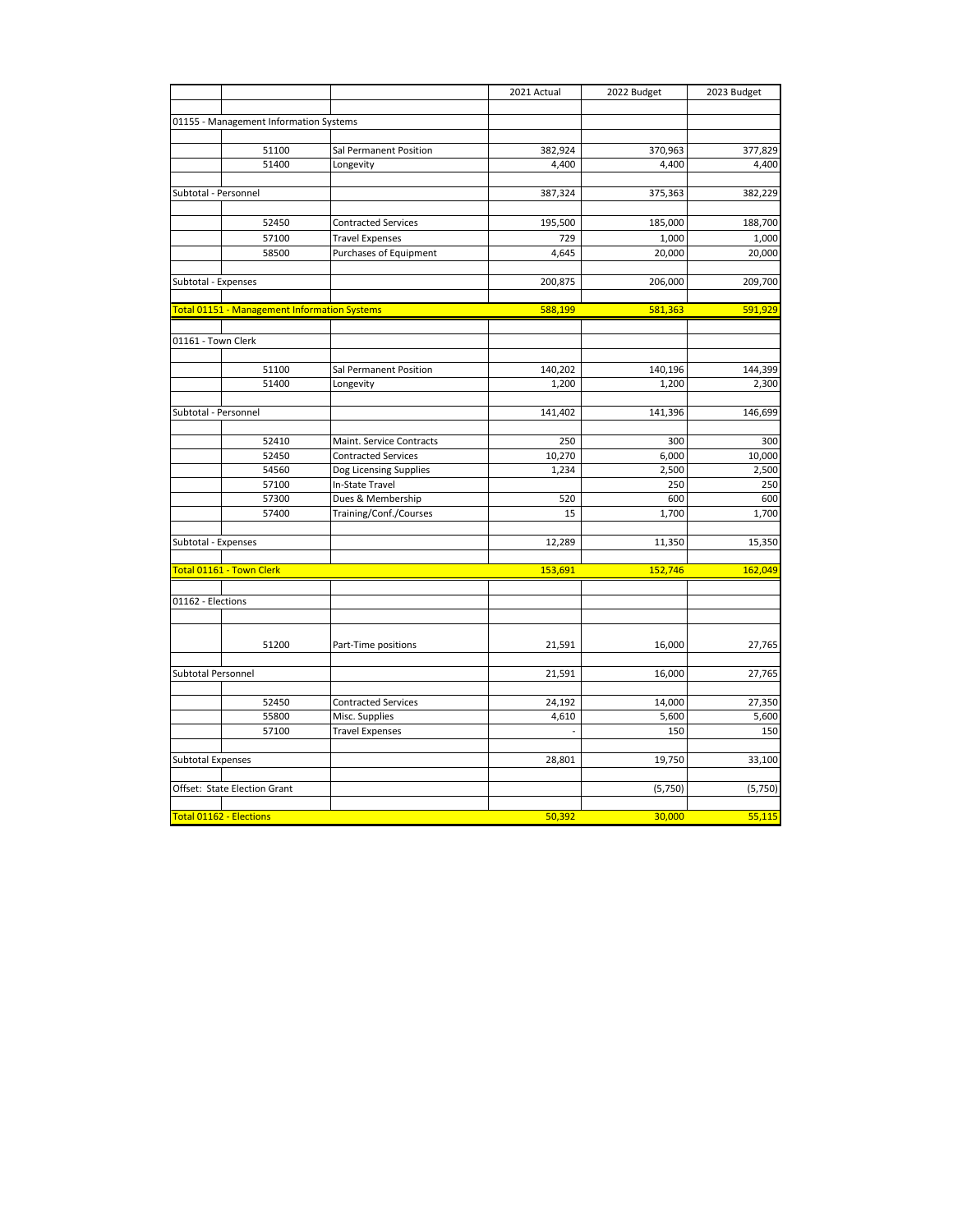|                                              |                |                                           | 2021 Actual     | 2022 Budget    | 2023 Budget  |
|----------------------------------------------|----------------|-------------------------------------------|-----------------|----------------|--------------|
|                                              |                |                                           |                 |                |              |
| 01155 - Management Information Systems       |                |                                           |                 |                |              |
|                                              |                |                                           |                 |                |              |
|                                              | 51100          | Sal Permanent Position                    | 382,924         | 370,963        | 377,829      |
|                                              | 51400          | Longevity                                 | 4,400           | 4,400          | 4,400        |
| Subtotal - Personnel                         |                |                                           | 387,324         | 375,363        | 382,229      |
|                                              |                |                                           |                 |                |              |
|                                              | 52450          | <b>Contracted Services</b>                | 195,500         | 185,000        | 188,700      |
|                                              | 57100          | <b>Travel Expenses</b>                    | 729             | 1,000          | 1,000        |
|                                              | 58500          | Purchases of Equipment                    | 4,645           | 20,000         | 20,000       |
| Subtotal - Expenses                          |                |                                           | 200,875         | 206,000        | 209,700      |
|                                              |                |                                           |                 |                |              |
| Total 01151 - Management Information Systems |                |                                           | 588,199         | 581,363        | 591,929      |
|                                              |                |                                           |                 |                |              |
| 01161 - Town Clerk                           |                |                                           |                 |                |              |
|                                              | 51100          | Sal Permanent Position                    | 140,202         | 140,196        | 144,399      |
|                                              | 51400          | Longevity                                 | 1,200           | 1,200          | 2,300        |
|                                              |                |                                           |                 |                |              |
| Subtotal - Personnel                         |                |                                           | 141,402         | 141,396        | 146,699      |
|                                              |                |                                           |                 |                |              |
|                                              | 52410          | Maint. Service Contracts                  | 250             | 300            | 300          |
|                                              | 52450<br>54560 | <b>Contracted Services</b>                | 10,270<br>1,234 | 6,000<br>2,500 | 10,000       |
|                                              | 57100          | Dog Licensing Supplies<br>In-State Travel |                 | 250            | 2,500<br>250 |
|                                              | 57300          | Dues & Membership                         | 520             | 600            | 600          |
|                                              | 57400          | Training/Conf./Courses                    | 15              | 1,700          | 1,700        |
|                                              |                |                                           |                 |                |              |
| Subtotal - Expenses                          |                |                                           | 12,289          | 11,350         | 15,350       |
|                                              |                |                                           |                 |                |              |
| Total 01161 - Town Clerk                     |                |                                           | 153,691         | 152,746        | 162,049      |
| 01162 - Elections                            |                |                                           |                 |                |              |
|                                              |                |                                           |                 |                |              |
|                                              |                |                                           |                 |                |              |
|                                              | 51200          | Part-Time positions                       | 21,591          | 16,000         | 27,765       |
| Subtotal Personnel                           |                |                                           | 21,591          | 16,000         | 27,765       |
|                                              |                |                                           |                 |                |              |
|                                              | 52450          | <b>Contracted Services</b>                | 24,192          | 14,000         | 27,350       |
|                                              | 55800          | Misc. Supplies                            | 4,610           | 5,600          | 5,600        |
|                                              | 57100          | <b>Travel Expenses</b>                    |                 | 150            | 150          |
| <b>Subtotal Expenses</b>                     |                |                                           | 28,801          | 19,750         | 33,100       |
|                                              |                |                                           |                 |                |              |
| Offset: State Election Grant                 |                |                                           |                 | (5,750)        | (5,750)      |
|                                              |                |                                           |                 |                |              |
| Total 01162 - Elections                      |                |                                           | 50,392          | 30,000         | 55,115       |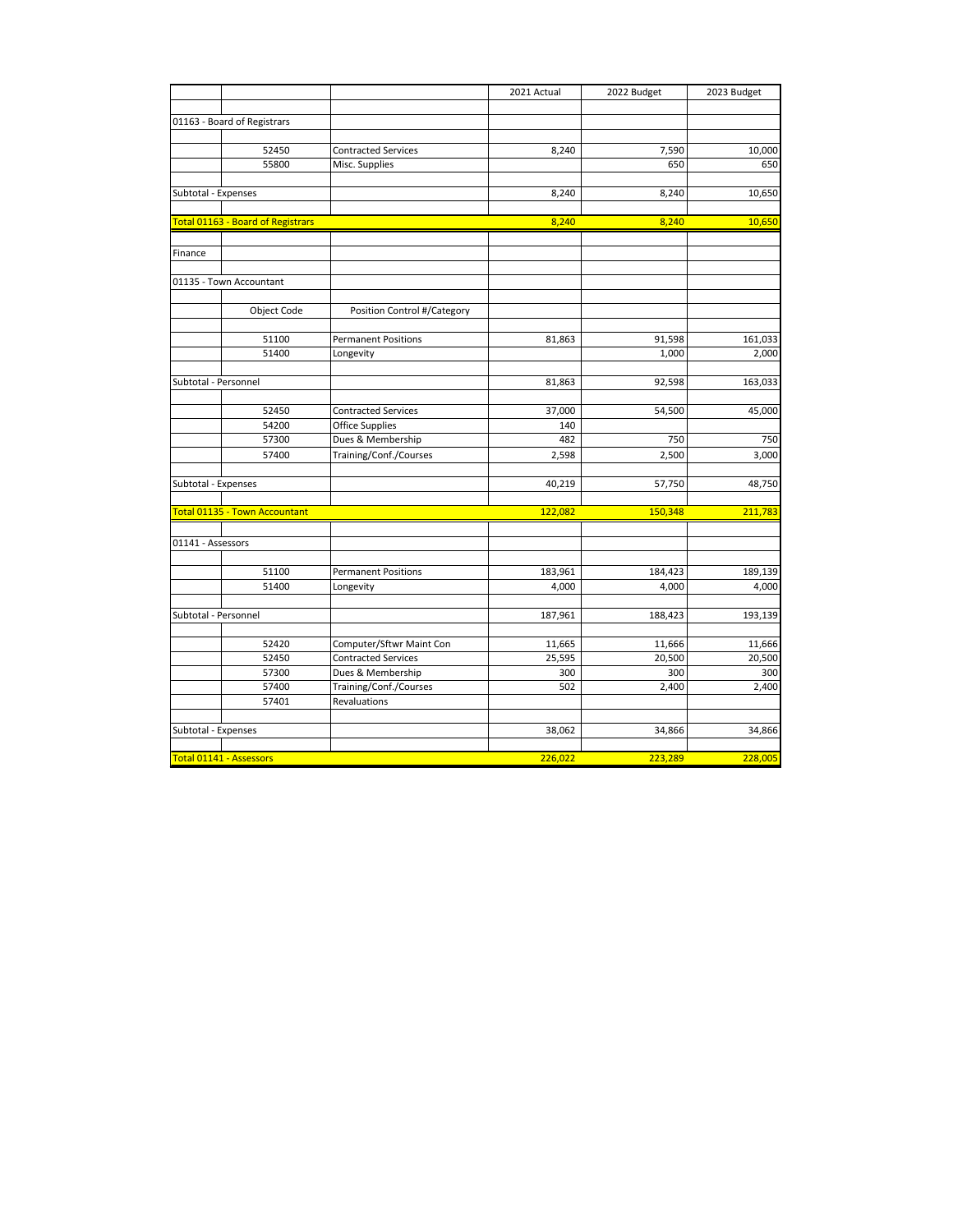|                                |                                   |                                              | 2021 Actual | 2022 Budget  | 2023 Budget   |
|--------------------------------|-----------------------------------|----------------------------------------------|-------------|--------------|---------------|
|                                |                                   |                                              |             |              |               |
|                                | 01163 - Board of Registrars       |                                              |             |              |               |
|                                |                                   |                                              |             |              |               |
|                                | 52450<br>55800                    | <b>Contracted Services</b><br>Misc. Supplies | 8,240       | 7,590<br>650 | 10,000<br>650 |
|                                |                                   |                                              |             |              |               |
| Subtotal - Expenses            |                                   |                                              | 8,240       | 8,240        | 10,650        |
|                                |                                   |                                              |             |              |               |
|                                | Total 01163 - Board of Registrars |                                              | 8,240       | 8,240        | 10,650        |
|                                |                                   |                                              |             |              |               |
| Finance                        |                                   |                                              |             |              |               |
|                                | 01135 - Town Accountant           |                                              |             |              |               |
|                                |                                   |                                              |             |              |               |
|                                | Object Code                       | Position Control #/Category                  |             |              |               |
|                                |                                   |                                              |             |              |               |
|                                | 51100                             | <b>Permanent Positions</b>                   | 81,863      | 91,598       | 161,033       |
|                                | 51400                             | Longevity                                    |             | 1,000        | 2,000         |
|                                |                                   |                                              |             |              |               |
| Subtotal - Personnel           |                                   |                                              | 81,863      | 92,598       | 163,033       |
|                                |                                   |                                              |             |              |               |
|                                | 52450                             | <b>Contracted Services</b>                   | 37,000      | 54,500       | 45,000        |
|                                | 54200                             | <b>Office Supplies</b>                       | 140         |              |               |
|                                | 57300                             | Dues & Membership                            | 482         | 750          | 750           |
|                                | 57400                             | Training/Conf./Courses                       | 2,598       | 2,500        | 3,000         |
|                                |                                   |                                              |             |              |               |
| Subtotal - Expenses            |                                   |                                              | 40,219      | 57,750       | 48,750        |
|                                | Total 01135 - Town Accountant     |                                              | 122,082     | 150,348      | 211,783       |
|                                |                                   |                                              |             |              |               |
| 01141 - Assessors              |                                   |                                              |             |              |               |
|                                |                                   |                                              |             |              |               |
|                                | 51100                             | <b>Permanent Positions</b>                   | 183,961     | 184,423      | 189,139       |
|                                | 51400                             | Longevity                                    | 4,000       | 4,000        | 4,000         |
|                                |                                   |                                              |             |              |               |
| Subtotal - Personnel           |                                   |                                              | 187,961     | 188,423      | 193,139       |
|                                | 52420                             | Computer/Sftwr Maint Con                     | 11,665      | 11,666       | 11,666        |
|                                | 52450                             | <b>Contracted Services</b>                   | 25,595      | 20,500       | 20,500        |
|                                | 57300                             | Dues & Membership                            | 300         | 300          | 300           |
|                                | 57400                             | Training/Conf./Courses                       | 502         | 2,400        | 2,400         |
|                                | 57401                             | Revaluations                                 |             |              |               |
|                                |                                   |                                              |             |              |               |
| Subtotal - Expenses            |                                   |                                              | 38,062      | 34,866       | 34,866        |
|                                |                                   |                                              |             |              |               |
| <b>Total 01141 - Assessors</b> |                                   |                                              | 226,022     | 223,289      | 228,005       |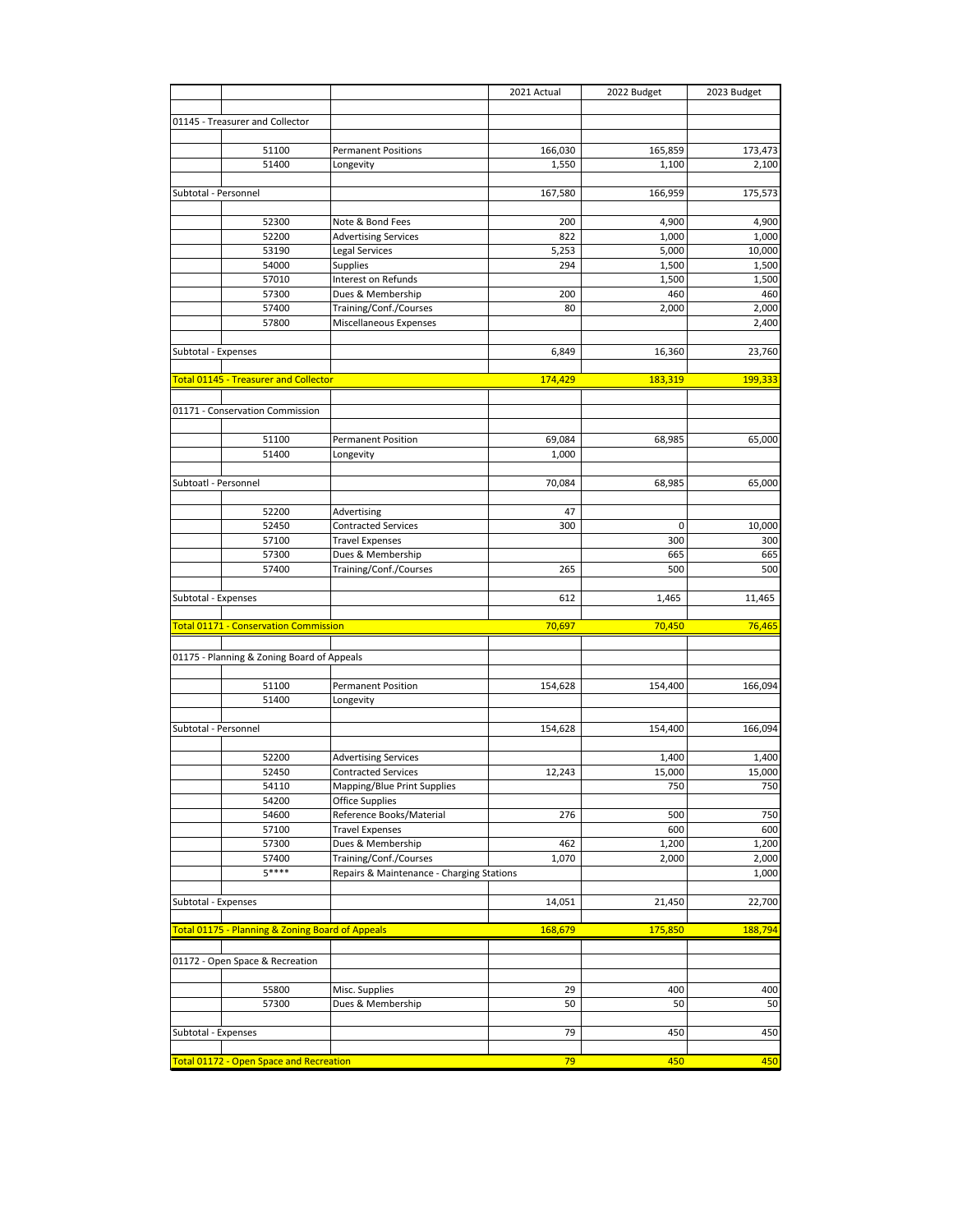| 01145 - Treasurer and Collector<br><b>Permanent Positions</b><br>166,030<br>165,859<br>51100<br>51400<br>1,550<br>1,100<br>2,100<br>Longevity<br>Subtotal - Personnel<br>166,959<br>175,573<br>167,580<br>52300<br>Note & Bond Fees<br>4,900<br>200<br>4,900<br>52200<br>822<br><b>Advertising Services</b><br>1,000<br>1,000<br>53190<br>Legal Services<br>5,253<br>5,000<br>10,000<br>54000<br>Supplies<br>1,500<br>1,500<br>294<br>Interest on Refunds<br>57010<br>1,500<br>1,500<br>460<br>57300<br>Dues & Membership<br>460<br>200<br>57400<br>Training/Conf./Courses<br>2,000<br>80<br>2,000<br>57800<br>Miscellaneous Expenses<br>2,400<br>Subtotal - Expenses<br>23,760<br>6,849<br>16,360<br><b>Total 01145 - Treasurer and Collector</b><br>174,429<br>183,319<br>199,333<br>01171 - Conservation Commission<br><b>Permanent Position</b><br>51100<br>69,084<br>68,985<br>51400<br>1,000<br>Longevity<br>Subtoatl - Personnel<br>70,084<br>68,985<br>65,000<br>52200<br>Advertising<br>47<br>52450<br><b>Contracted Services</b><br>300<br>0<br>10,000<br>57100<br><b>Travel Expenses</b><br>300<br>300<br>57300<br>Dues & Membership<br>665<br>665<br>Training/Conf./Courses<br>500<br>500<br>57400<br>265<br>Subtotal - Expenses<br>612<br>1,465<br>11,465<br>Total 01171 - Conservation Commission<br>70,697<br>70,450<br>76,465<br>01175 - Planning & Zoning Board of Appeals<br>51100<br><b>Permanent Position</b><br>154,628<br>154,400<br>166,094<br>51400<br>Longevity<br>Subtotal - Personnel<br>154,628<br>154,400<br>166,094<br>52200<br><b>Advertising Services</b><br>1,400<br>1,400<br>15,000<br>15,000<br>52450<br><b>Contracted Services</b><br>12,243<br>54110<br>Mapping/Blue Print Supplies<br>750<br>750<br>54200<br><b>Office Supplies</b><br>54600<br>Reference Books/Material<br>276<br>500<br>750<br>57100<br><b>Travel Expenses</b><br>600<br>600<br>57300<br>Dues & Membership<br>462<br>1,200<br>1,200<br>Training/Conf./Courses<br>2,000<br>57400<br>1,070<br>2,000<br>$5***$<br>Repairs & Maintenance - Charging Stations<br>1,000<br>Subtotal - Expenses<br>14,051<br>21,450<br>22,700<br>Total 01175 - Planning & Zoning Board of Appeals<br>168,679<br>175,850<br>188,794<br>01172 - Open Space & Recreation<br>Misc. Supplies<br>55800<br>29<br>400<br>400<br>57300<br>Dues & Membership<br>50<br>50<br>50<br>Subtotal - Expenses<br>79<br>450<br>450<br>450<br>Total 01172 - Open Space and Recreation<br>79<br>450 |  | 2021 Actual | 2022 Budget | 2023 Budget |
|-----------------------------------------------------------------------------------------------------------------------------------------------------------------------------------------------------------------------------------------------------------------------------------------------------------------------------------------------------------------------------------------------------------------------------------------------------------------------------------------------------------------------------------------------------------------------------------------------------------------------------------------------------------------------------------------------------------------------------------------------------------------------------------------------------------------------------------------------------------------------------------------------------------------------------------------------------------------------------------------------------------------------------------------------------------------------------------------------------------------------------------------------------------------------------------------------------------------------------------------------------------------------------------------------------------------------------------------------------------------------------------------------------------------------------------------------------------------------------------------------------------------------------------------------------------------------------------------------------------------------------------------------------------------------------------------------------------------------------------------------------------------------------------------------------------------------------------------------------------------------------------------------------------------------------------------------------------------------------------------------------------------------------------------------------------------------------------------------------------------------------------------------------------------------------------------------------------------------------------------------------------------------------------------------------------------------------------------------------------------------------------------------------------------------------------------------------------------|--|-------------|-------------|-------------|
|                                                                                                                                                                                                                                                                                                                                                                                                                                                                                                                                                                                                                                                                                                                                                                                                                                                                                                                                                                                                                                                                                                                                                                                                                                                                                                                                                                                                                                                                                                                                                                                                                                                                                                                                                                                                                                                                                                                                                                                                                                                                                                                                                                                                                                                                                                                                                                                                                                                                 |  |             |             |             |
|                                                                                                                                                                                                                                                                                                                                                                                                                                                                                                                                                                                                                                                                                                                                                                                                                                                                                                                                                                                                                                                                                                                                                                                                                                                                                                                                                                                                                                                                                                                                                                                                                                                                                                                                                                                                                                                                                                                                                                                                                                                                                                                                                                                                                                                                                                                                                                                                                                                                 |  |             |             |             |
|                                                                                                                                                                                                                                                                                                                                                                                                                                                                                                                                                                                                                                                                                                                                                                                                                                                                                                                                                                                                                                                                                                                                                                                                                                                                                                                                                                                                                                                                                                                                                                                                                                                                                                                                                                                                                                                                                                                                                                                                                                                                                                                                                                                                                                                                                                                                                                                                                                                                 |  |             |             |             |
|                                                                                                                                                                                                                                                                                                                                                                                                                                                                                                                                                                                                                                                                                                                                                                                                                                                                                                                                                                                                                                                                                                                                                                                                                                                                                                                                                                                                                                                                                                                                                                                                                                                                                                                                                                                                                                                                                                                                                                                                                                                                                                                                                                                                                                                                                                                                                                                                                                                                 |  |             |             | 173,473     |
|                                                                                                                                                                                                                                                                                                                                                                                                                                                                                                                                                                                                                                                                                                                                                                                                                                                                                                                                                                                                                                                                                                                                                                                                                                                                                                                                                                                                                                                                                                                                                                                                                                                                                                                                                                                                                                                                                                                                                                                                                                                                                                                                                                                                                                                                                                                                                                                                                                                                 |  |             |             |             |
|                                                                                                                                                                                                                                                                                                                                                                                                                                                                                                                                                                                                                                                                                                                                                                                                                                                                                                                                                                                                                                                                                                                                                                                                                                                                                                                                                                                                                                                                                                                                                                                                                                                                                                                                                                                                                                                                                                                                                                                                                                                                                                                                                                                                                                                                                                                                                                                                                                                                 |  |             |             |             |
|                                                                                                                                                                                                                                                                                                                                                                                                                                                                                                                                                                                                                                                                                                                                                                                                                                                                                                                                                                                                                                                                                                                                                                                                                                                                                                                                                                                                                                                                                                                                                                                                                                                                                                                                                                                                                                                                                                                                                                                                                                                                                                                                                                                                                                                                                                                                                                                                                                                                 |  |             |             |             |
|                                                                                                                                                                                                                                                                                                                                                                                                                                                                                                                                                                                                                                                                                                                                                                                                                                                                                                                                                                                                                                                                                                                                                                                                                                                                                                                                                                                                                                                                                                                                                                                                                                                                                                                                                                                                                                                                                                                                                                                                                                                                                                                                                                                                                                                                                                                                                                                                                                                                 |  |             |             |             |
|                                                                                                                                                                                                                                                                                                                                                                                                                                                                                                                                                                                                                                                                                                                                                                                                                                                                                                                                                                                                                                                                                                                                                                                                                                                                                                                                                                                                                                                                                                                                                                                                                                                                                                                                                                                                                                                                                                                                                                                                                                                                                                                                                                                                                                                                                                                                                                                                                                                                 |  |             |             |             |
|                                                                                                                                                                                                                                                                                                                                                                                                                                                                                                                                                                                                                                                                                                                                                                                                                                                                                                                                                                                                                                                                                                                                                                                                                                                                                                                                                                                                                                                                                                                                                                                                                                                                                                                                                                                                                                                                                                                                                                                                                                                                                                                                                                                                                                                                                                                                                                                                                                                                 |  |             |             |             |
|                                                                                                                                                                                                                                                                                                                                                                                                                                                                                                                                                                                                                                                                                                                                                                                                                                                                                                                                                                                                                                                                                                                                                                                                                                                                                                                                                                                                                                                                                                                                                                                                                                                                                                                                                                                                                                                                                                                                                                                                                                                                                                                                                                                                                                                                                                                                                                                                                                                                 |  |             |             |             |
|                                                                                                                                                                                                                                                                                                                                                                                                                                                                                                                                                                                                                                                                                                                                                                                                                                                                                                                                                                                                                                                                                                                                                                                                                                                                                                                                                                                                                                                                                                                                                                                                                                                                                                                                                                                                                                                                                                                                                                                                                                                                                                                                                                                                                                                                                                                                                                                                                                                                 |  |             |             |             |
|                                                                                                                                                                                                                                                                                                                                                                                                                                                                                                                                                                                                                                                                                                                                                                                                                                                                                                                                                                                                                                                                                                                                                                                                                                                                                                                                                                                                                                                                                                                                                                                                                                                                                                                                                                                                                                                                                                                                                                                                                                                                                                                                                                                                                                                                                                                                                                                                                                                                 |  |             |             |             |
|                                                                                                                                                                                                                                                                                                                                                                                                                                                                                                                                                                                                                                                                                                                                                                                                                                                                                                                                                                                                                                                                                                                                                                                                                                                                                                                                                                                                                                                                                                                                                                                                                                                                                                                                                                                                                                                                                                                                                                                                                                                                                                                                                                                                                                                                                                                                                                                                                                                                 |  |             |             |             |
|                                                                                                                                                                                                                                                                                                                                                                                                                                                                                                                                                                                                                                                                                                                                                                                                                                                                                                                                                                                                                                                                                                                                                                                                                                                                                                                                                                                                                                                                                                                                                                                                                                                                                                                                                                                                                                                                                                                                                                                                                                                                                                                                                                                                                                                                                                                                                                                                                                                                 |  |             |             |             |
|                                                                                                                                                                                                                                                                                                                                                                                                                                                                                                                                                                                                                                                                                                                                                                                                                                                                                                                                                                                                                                                                                                                                                                                                                                                                                                                                                                                                                                                                                                                                                                                                                                                                                                                                                                                                                                                                                                                                                                                                                                                                                                                                                                                                                                                                                                                                                                                                                                                                 |  |             |             |             |
|                                                                                                                                                                                                                                                                                                                                                                                                                                                                                                                                                                                                                                                                                                                                                                                                                                                                                                                                                                                                                                                                                                                                                                                                                                                                                                                                                                                                                                                                                                                                                                                                                                                                                                                                                                                                                                                                                                                                                                                                                                                                                                                                                                                                                                                                                                                                                                                                                                                                 |  |             |             |             |
|                                                                                                                                                                                                                                                                                                                                                                                                                                                                                                                                                                                                                                                                                                                                                                                                                                                                                                                                                                                                                                                                                                                                                                                                                                                                                                                                                                                                                                                                                                                                                                                                                                                                                                                                                                                                                                                                                                                                                                                                                                                                                                                                                                                                                                                                                                                                                                                                                                                                 |  |             |             |             |
|                                                                                                                                                                                                                                                                                                                                                                                                                                                                                                                                                                                                                                                                                                                                                                                                                                                                                                                                                                                                                                                                                                                                                                                                                                                                                                                                                                                                                                                                                                                                                                                                                                                                                                                                                                                                                                                                                                                                                                                                                                                                                                                                                                                                                                                                                                                                                                                                                                                                 |  |             |             |             |
|                                                                                                                                                                                                                                                                                                                                                                                                                                                                                                                                                                                                                                                                                                                                                                                                                                                                                                                                                                                                                                                                                                                                                                                                                                                                                                                                                                                                                                                                                                                                                                                                                                                                                                                                                                                                                                                                                                                                                                                                                                                                                                                                                                                                                                                                                                                                                                                                                                                                 |  |             |             |             |
|                                                                                                                                                                                                                                                                                                                                                                                                                                                                                                                                                                                                                                                                                                                                                                                                                                                                                                                                                                                                                                                                                                                                                                                                                                                                                                                                                                                                                                                                                                                                                                                                                                                                                                                                                                                                                                                                                                                                                                                                                                                                                                                                                                                                                                                                                                                                                                                                                                                                 |  |             |             |             |
|                                                                                                                                                                                                                                                                                                                                                                                                                                                                                                                                                                                                                                                                                                                                                                                                                                                                                                                                                                                                                                                                                                                                                                                                                                                                                                                                                                                                                                                                                                                                                                                                                                                                                                                                                                                                                                                                                                                                                                                                                                                                                                                                                                                                                                                                                                                                                                                                                                                                 |  |             |             |             |
|                                                                                                                                                                                                                                                                                                                                                                                                                                                                                                                                                                                                                                                                                                                                                                                                                                                                                                                                                                                                                                                                                                                                                                                                                                                                                                                                                                                                                                                                                                                                                                                                                                                                                                                                                                                                                                                                                                                                                                                                                                                                                                                                                                                                                                                                                                                                                                                                                                                                 |  |             |             |             |
|                                                                                                                                                                                                                                                                                                                                                                                                                                                                                                                                                                                                                                                                                                                                                                                                                                                                                                                                                                                                                                                                                                                                                                                                                                                                                                                                                                                                                                                                                                                                                                                                                                                                                                                                                                                                                                                                                                                                                                                                                                                                                                                                                                                                                                                                                                                                                                                                                                                                 |  |             |             | 65,000      |
|                                                                                                                                                                                                                                                                                                                                                                                                                                                                                                                                                                                                                                                                                                                                                                                                                                                                                                                                                                                                                                                                                                                                                                                                                                                                                                                                                                                                                                                                                                                                                                                                                                                                                                                                                                                                                                                                                                                                                                                                                                                                                                                                                                                                                                                                                                                                                                                                                                                                 |  |             |             |             |
|                                                                                                                                                                                                                                                                                                                                                                                                                                                                                                                                                                                                                                                                                                                                                                                                                                                                                                                                                                                                                                                                                                                                                                                                                                                                                                                                                                                                                                                                                                                                                                                                                                                                                                                                                                                                                                                                                                                                                                                                                                                                                                                                                                                                                                                                                                                                                                                                                                                                 |  |             |             |             |
|                                                                                                                                                                                                                                                                                                                                                                                                                                                                                                                                                                                                                                                                                                                                                                                                                                                                                                                                                                                                                                                                                                                                                                                                                                                                                                                                                                                                                                                                                                                                                                                                                                                                                                                                                                                                                                                                                                                                                                                                                                                                                                                                                                                                                                                                                                                                                                                                                                                                 |  |             |             |             |
|                                                                                                                                                                                                                                                                                                                                                                                                                                                                                                                                                                                                                                                                                                                                                                                                                                                                                                                                                                                                                                                                                                                                                                                                                                                                                                                                                                                                                                                                                                                                                                                                                                                                                                                                                                                                                                                                                                                                                                                                                                                                                                                                                                                                                                                                                                                                                                                                                                                                 |  |             |             |             |
|                                                                                                                                                                                                                                                                                                                                                                                                                                                                                                                                                                                                                                                                                                                                                                                                                                                                                                                                                                                                                                                                                                                                                                                                                                                                                                                                                                                                                                                                                                                                                                                                                                                                                                                                                                                                                                                                                                                                                                                                                                                                                                                                                                                                                                                                                                                                                                                                                                                                 |  |             |             |             |
|                                                                                                                                                                                                                                                                                                                                                                                                                                                                                                                                                                                                                                                                                                                                                                                                                                                                                                                                                                                                                                                                                                                                                                                                                                                                                                                                                                                                                                                                                                                                                                                                                                                                                                                                                                                                                                                                                                                                                                                                                                                                                                                                                                                                                                                                                                                                                                                                                                                                 |  |             |             |             |
|                                                                                                                                                                                                                                                                                                                                                                                                                                                                                                                                                                                                                                                                                                                                                                                                                                                                                                                                                                                                                                                                                                                                                                                                                                                                                                                                                                                                                                                                                                                                                                                                                                                                                                                                                                                                                                                                                                                                                                                                                                                                                                                                                                                                                                                                                                                                                                                                                                                                 |  |             |             |             |
|                                                                                                                                                                                                                                                                                                                                                                                                                                                                                                                                                                                                                                                                                                                                                                                                                                                                                                                                                                                                                                                                                                                                                                                                                                                                                                                                                                                                                                                                                                                                                                                                                                                                                                                                                                                                                                                                                                                                                                                                                                                                                                                                                                                                                                                                                                                                                                                                                                                                 |  |             |             |             |
|                                                                                                                                                                                                                                                                                                                                                                                                                                                                                                                                                                                                                                                                                                                                                                                                                                                                                                                                                                                                                                                                                                                                                                                                                                                                                                                                                                                                                                                                                                                                                                                                                                                                                                                                                                                                                                                                                                                                                                                                                                                                                                                                                                                                                                                                                                                                                                                                                                                                 |  |             |             |             |
|                                                                                                                                                                                                                                                                                                                                                                                                                                                                                                                                                                                                                                                                                                                                                                                                                                                                                                                                                                                                                                                                                                                                                                                                                                                                                                                                                                                                                                                                                                                                                                                                                                                                                                                                                                                                                                                                                                                                                                                                                                                                                                                                                                                                                                                                                                                                                                                                                                                                 |  |             |             |             |
|                                                                                                                                                                                                                                                                                                                                                                                                                                                                                                                                                                                                                                                                                                                                                                                                                                                                                                                                                                                                                                                                                                                                                                                                                                                                                                                                                                                                                                                                                                                                                                                                                                                                                                                                                                                                                                                                                                                                                                                                                                                                                                                                                                                                                                                                                                                                                                                                                                                                 |  |             |             |             |
|                                                                                                                                                                                                                                                                                                                                                                                                                                                                                                                                                                                                                                                                                                                                                                                                                                                                                                                                                                                                                                                                                                                                                                                                                                                                                                                                                                                                                                                                                                                                                                                                                                                                                                                                                                                                                                                                                                                                                                                                                                                                                                                                                                                                                                                                                                                                                                                                                                                                 |  |             |             |             |
|                                                                                                                                                                                                                                                                                                                                                                                                                                                                                                                                                                                                                                                                                                                                                                                                                                                                                                                                                                                                                                                                                                                                                                                                                                                                                                                                                                                                                                                                                                                                                                                                                                                                                                                                                                                                                                                                                                                                                                                                                                                                                                                                                                                                                                                                                                                                                                                                                                                                 |  |             |             |             |
|                                                                                                                                                                                                                                                                                                                                                                                                                                                                                                                                                                                                                                                                                                                                                                                                                                                                                                                                                                                                                                                                                                                                                                                                                                                                                                                                                                                                                                                                                                                                                                                                                                                                                                                                                                                                                                                                                                                                                                                                                                                                                                                                                                                                                                                                                                                                                                                                                                                                 |  |             |             |             |
|                                                                                                                                                                                                                                                                                                                                                                                                                                                                                                                                                                                                                                                                                                                                                                                                                                                                                                                                                                                                                                                                                                                                                                                                                                                                                                                                                                                                                                                                                                                                                                                                                                                                                                                                                                                                                                                                                                                                                                                                                                                                                                                                                                                                                                                                                                                                                                                                                                                                 |  |             |             |             |
|                                                                                                                                                                                                                                                                                                                                                                                                                                                                                                                                                                                                                                                                                                                                                                                                                                                                                                                                                                                                                                                                                                                                                                                                                                                                                                                                                                                                                                                                                                                                                                                                                                                                                                                                                                                                                                                                                                                                                                                                                                                                                                                                                                                                                                                                                                                                                                                                                                                                 |  |             |             |             |
|                                                                                                                                                                                                                                                                                                                                                                                                                                                                                                                                                                                                                                                                                                                                                                                                                                                                                                                                                                                                                                                                                                                                                                                                                                                                                                                                                                                                                                                                                                                                                                                                                                                                                                                                                                                                                                                                                                                                                                                                                                                                                                                                                                                                                                                                                                                                                                                                                                                                 |  |             |             |             |
|                                                                                                                                                                                                                                                                                                                                                                                                                                                                                                                                                                                                                                                                                                                                                                                                                                                                                                                                                                                                                                                                                                                                                                                                                                                                                                                                                                                                                                                                                                                                                                                                                                                                                                                                                                                                                                                                                                                                                                                                                                                                                                                                                                                                                                                                                                                                                                                                                                                                 |  |             |             |             |
|                                                                                                                                                                                                                                                                                                                                                                                                                                                                                                                                                                                                                                                                                                                                                                                                                                                                                                                                                                                                                                                                                                                                                                                                                                                                                                                                                                                                                                                                                                                                                                                                                                                                                                                                                                                                                                                                                                                                                                                                                                                                                                                                                                                                                                                                                                                                                                                                                                                                 |  |             |             |             |
|                                                                                                                                                                                                                                                                                                                                                                                                                                                                                                                                                                                                                                                                                                                                                                                                                                                                                                                                                                                                                                                                                                                                                                                                                                                                                                                                                                                                                                                                                                                                                                                                                                                                                                                                                                                                                                                                                                                                                                                                                                                                                                                                                                                                                                                                                                                                                                                                                                                                 |  |             |             |             |
|                                                                                                                                                                                                                                                                                                                                                                                                                                                                                                                                                                                                                                                                                                                                                                                                                                                                                                                                                                                                                                                                                                                                                                                                                                                                                                                                                                                                                                                                                                                                                                                                                                                                                                                                                                                                                                                                                                                                                                                                                                                                                                                                                                                                                                                                                                                                                                                                                                                                 |  |             |             |             |
|                                                                                                                                                                                                                                                                                                                                                                                                                                                                                                                                                                                                                                                                                                                                                                                                                                                                                                                                                                                                                                                                                                                                                                                                                                                                                                                                                                                                                                                                                                                                                                                                                                                                                                                                                                                                                                                                                                                                                                                                                                                                                                                                                                                                                                                                                                                                                                                                                                                                 |  |             |             |             |
|                                                                                                                                                                                                                                                                                                                                                                                                                                                                                                                                                                                                                                                                                                                                                                                                                                                                                                                                                                                                                                                                                                                                                                                                                                                                                                                                                                                                                                                                                                                                                                                                                                                                                                                                                                                                                                                                                                                                                                                                                                                                                                                                                                                                                                                                                                                                                                                                                                                                 |  |             |             |             |
|                                                                                                                                                                                                                                                                                                                                                                                                                                                                                                                                                                                                                                                                                                                                                                                                                                                                                                                                                                                                                                                                                                                                                                                                                                                                                                                                                                                                                                                                                                                                                                                                                                                                                                                                                                                                                                                                                                                                                                                                                                                                                                                                                                                                                                                                                                                                                                                                                                                                 |  |             |             |             |
|                                                                                                                                                                                                                                                                                                                                                                                                                                                                                                                                                                                                                                                                                                                                                                                                                                                                                                                                                                                                                                                                                                                                                                                                                                                                                                                                                                                                                                                                                                                                                                                                                                                                                                                                                                                                                                                                                                                                                                                                                                                                                                                                                                                                                                                                                                                                                                                                                                                                 |  |             |             |             |
|                                                                                                                                                                                                                                                                                                                                                                                                                                                                                                                                                                                                                                                                                                                                                                                                                                                                                                                                                                                                                                                                                                                                                                                                                                                                                                                                                                                                                                                                                                                                                                                                                                                                                                                                                                                                                                                                                                                                                                                                                                                                                                                                                                                                                                                                                                                                                                                                                                                                 |  |             |             |             |
|                                                                                                                                                                                                                                                                                                                                                                                                                                                                                                                                                                                                                                                                                                                                                                                                                                                                                                                                                                                                                                                                                                                                                                                                                                                                                                                                                                                                                                                                                                                                                                                                                                                                                                                                                                                                                                                                                                                                                                                                                                                                                                                                                                                                                                                                                                                                                                                                                                                                 |  |             |             |             |
|                                                                                                                                                                                                                                                                                                                                                                                                                                                                                                                                                                                                                                                                                                                                                                                                                                                                                                                                                                                                                                                                                                                                                                                                                                                                                                                                                                                                                                                                                                                                                                                                                                                                                                                                                                                                                                                                                                                                                                                                                                                                                                                                                                                                                                                                                                                                                                                                                                                                 |  |             |             |             |
|                                                                                                                                                                                                                                                                                                                                                                                                                                                                                                                                                                                                                                                                                                                                                                                                                                                                                                                                                                                                                                                                                                                                                                                                                                                                                                                                                                                                                                                                                                                                                                                                                                                                                                                                                                                                                                                                                                                                                                                                                                                                                                                                                                                                                                                                                                                                                                                                                                                                 |  |             |             |             |
|                                                                                                                                                                                                                                                                                                                                                                                                                                                                                                                                                                                                                                                                                                                                                                                                                                                                                                                                                                                                                                                                                                                                                                                                                                                                                                                                                                                                                                                                                                                                                                                                                                                                                                                                                                                                                                                                                                                                                                                                                                                                                                                                                                                                                                                                                                                                                                                                                                                                 |  |             |             |             |
|                                                                                                                                                                                                                                                                                                                                                                                                                                                                                                                                                                                                                                                                                                                                                                                                                                                                                                                                                                                                                                                                                                                                                                                                                                                                                                                                                                                                                                                                                                                                                                                                                                                                                                                                                                                                                                                                                                                                                                                                                                                                                                                                                                                                                                                                                                                                                                                                                                                                 |  |             |             |             |
|                                                                                                                                                                                                                                                                                                                                                                                                                                                                                                                                                                                                                                                                                                                                                                                                                                                                                                                                                                                                                                                                                                                                                                                                                                                                                                                                                                                                                                                                                                                                                                                                                                                                                                                                                                                                                                                                                                                                                                                                                                                                                                                                                                                                                                                                                                                                                                                                                                                                 |  |             |             |             |
|                                                                                                                                                                                                                                                                                                                                                                                                                                                                                                                                                                                                                                                                                                                                                                                                                                                                                                                                                                                                                                                                                                                                                                                                                                                                                                                                                                                                                                                                                                                                                                                                                                                                                                                                                                                                                                                                                                                                                                                                                                                                                                                                                                                                                                                                                                                                                                                                                                                                 |  |             |             |             |
|                                                                                                                                                                                                                                                                                                                                                                                                                                                                                                                                                                                                                                                                                                                                                                                                                                                                                                                                                                                                                                                                                                                                                                                                                                                                                                                                                                                                                                                                                                                                                                                                                                                                                                                                                                                                                                                                                                                                                                                                                                                                                                                                                                                                                                                                                                                                                                                                                                                                 |  |             |             |             |
|                                                                                                                                                                                                                                                                                                                                                                                                                                                                                                                                                                                                                                                                                                                                                                                                                                                                                                                                                                                                                                                                                                                                                                                                                                                                                                                                                                                                                                                                                                                                                                                                                                                                                                                                                                                                                                                                                                                                                                                                                                                                                                                                                                                                                                                                                                                                                                                                                                                                 |  |             |             |             |
|                                                                                                                                                                                                                                                                                                                                                                                                                                                                                                                                                                                                                                                                                                                                                                                                                                                                                                                                                                                                                                                                                                                                                                                                                                                                                                                                                                                                                                                                                                                                                                                                                                                                                                                                                                                                                                                                                                                                                                                                                                                                                                                                                                                                                                                                                                                                                                                                                                                                 |  |             |             |             |
|                                                                                                                                                                                                                                                                                                                                                                                                                                                                                                                                                                                                                                                                                                                                                                                                                                                                                                                                                                                                                                                                                                                                                                                                                                                                                                                                                                                                                                                                                                                                                                                                                                                                                                                                                                                                                                                                                                                                                                                                                                                                                                                                                                                                                                                                                                                                                                                                                                                                 |  |             |             |             |
|                                                                                                                                                                                                                                                                                                                                                                                                                                                                                                                                                                                                                                                                                                                                                                                                                                                                                                                                                                                                                                                                                                                                                                                                                                                                                                                                                                                                                                                                                                                                                                                                                                                                                                                                                                                                                                                                                                                                                                                                                                                                                                                                                                                                                                                                                                                                                                                                                                                                 |  |             |             |             |
|                                                                                                                                                                                                                                                                                                                                                                                                                                                                                                                                                                                                                                                                                                                                                                                                                                                                                                                                                                                                                                                                                                                                                                                                                                                                                                                                                                                                                                                                                                                                                                                                                                                                                                                                                                                                                                                                                                                                                                                                                                                                                                                                                                                                                                                                                                                                                                                                                                                                 |  |             |             |             |
|                                                                                                                                                                                                                                                                                                                                                                                                                                                                                                                                                                                                                                                                                                                                                                                                                                                                                                                                                                                                                                                                                                                                                                                                                                                                                                                                                                                                                                                                                                                                                                                                                                                                                                                                                                                                                                                                                                                                                                                                                                                                                                                                                                                                                                                                                                                                                                                                                                                                 |  |             |             |             |
|                                                                                                                                                                                                                                                                                                                                                                                                                                                                                                                                                                                                                                                                                                                                                                                                                                                                                                                                                                                                                                                                                                                                                                                                                                                                                                                                                                                                                                                                                                                                                                                                                                                                                                                                                                                                                                                                                                                                                                                                                                                                                                                                                                                                                                                                                                                                                                                                                                                                 |  |             |             |             |
|                                                                                                                                                                                                                                                                                                                                                                                                                                                                                                                                                                                                                                                                                                                                                                                                                                                                                                                                                                                                                                                                                                                                                                                                                                                                                                                                                                                                                                                                                                                                                                                                                                                                                                                                                                                                                                                                                                                                                                                                                                                                                                                                                                                                                                                                                                                                                                                                                                                                 |  |             |             |             |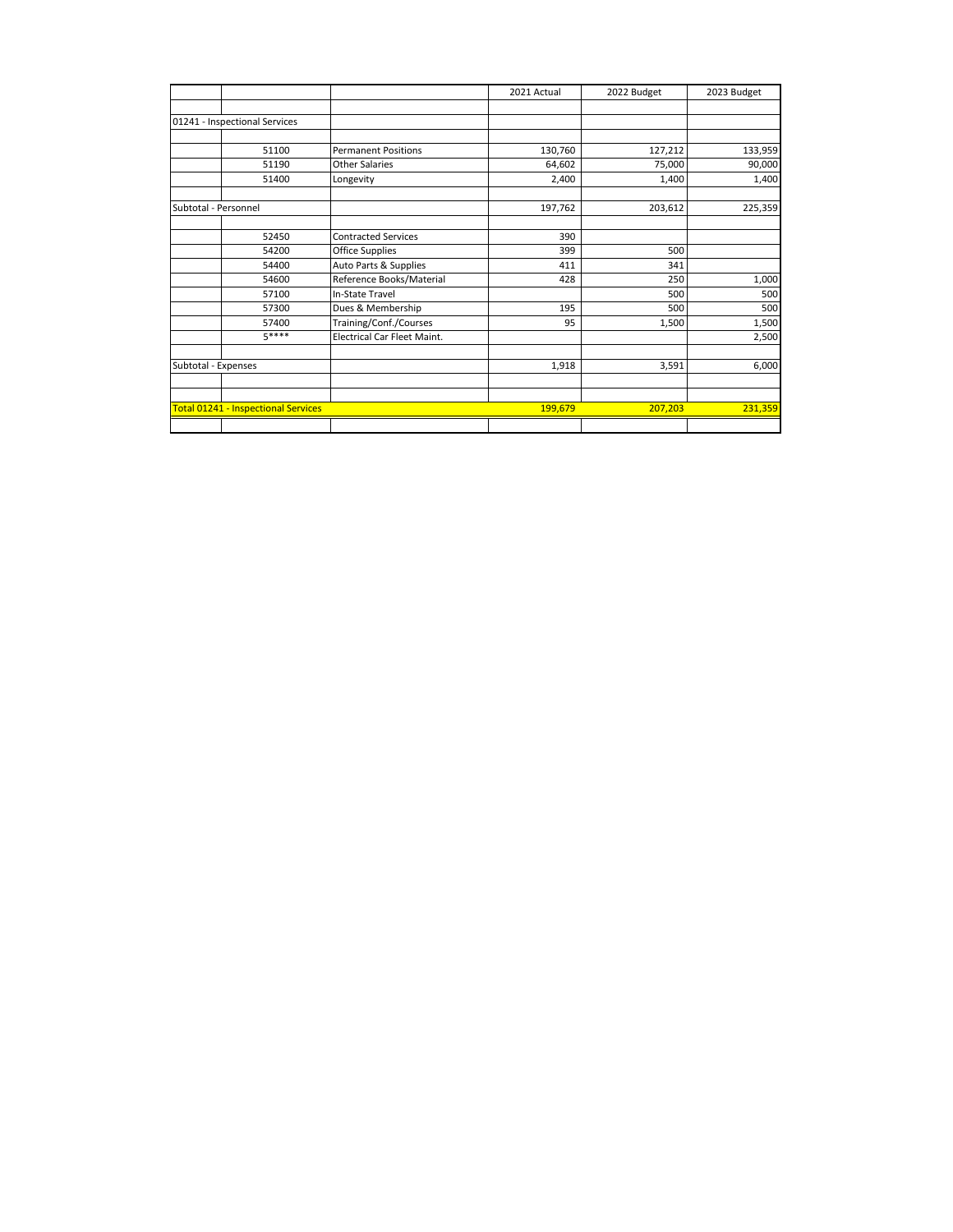|                                            |                             | 2021 Actual | 2022 Budget | 2023 Budget |
|--------------------------------------------|-----------------------------|-------------|-------------|-------------|
|                                            |                             |             |             |             |
| 01241 - Inspectional Services              |                             |             |             |             |
|                                            |                             |             |             |             |
| 51100                                      | <b>Permanent Positions</b>  | 130,760     | 127,212     | 133,959     |
| 51190                                      | <b>Other Salaries</b>       | 64,602      | 75,000      | 90,000      |
| 51400                                      | Longevity                   | 2,400       | 1,400       | 1,400       |
| Subtotal - Personnel                       |                             | 197,762     | 203,612     | 225,359     |
| 52450                                      | <b>Contracted Services</b>  | 390         |             |             |
| 54200                                      | Office Supplies             | 399         | 500         |             |
| 54400                                      | Auto Parts & Supplies       | 411         | 341         |             |
| 54600                                      | Reference Books/Material    | 428         | 250         | 1,000       |
| 57100                                      | In-State Travel             |             | 500         | 500         |
| 57300                                      | Dues & Membership           | 195         | 500         | 500         |
| 57400                                      | Training/Conf./Courses      | 95          | 1,500       | 1,500       |
| 5****                                      | Electrical Car Fleet Maint. |             |             | 2,500       |
| Subtotal - Expenses                        |                             | 1,918       | 3,591       | 6,000       |
|                                            |                             |             |             |             |
| <b>Total 01241 - Inspectional Services</b> |                             | 199,679     | 207,203     | 231,359     |
|                                            |                             |             |             |             |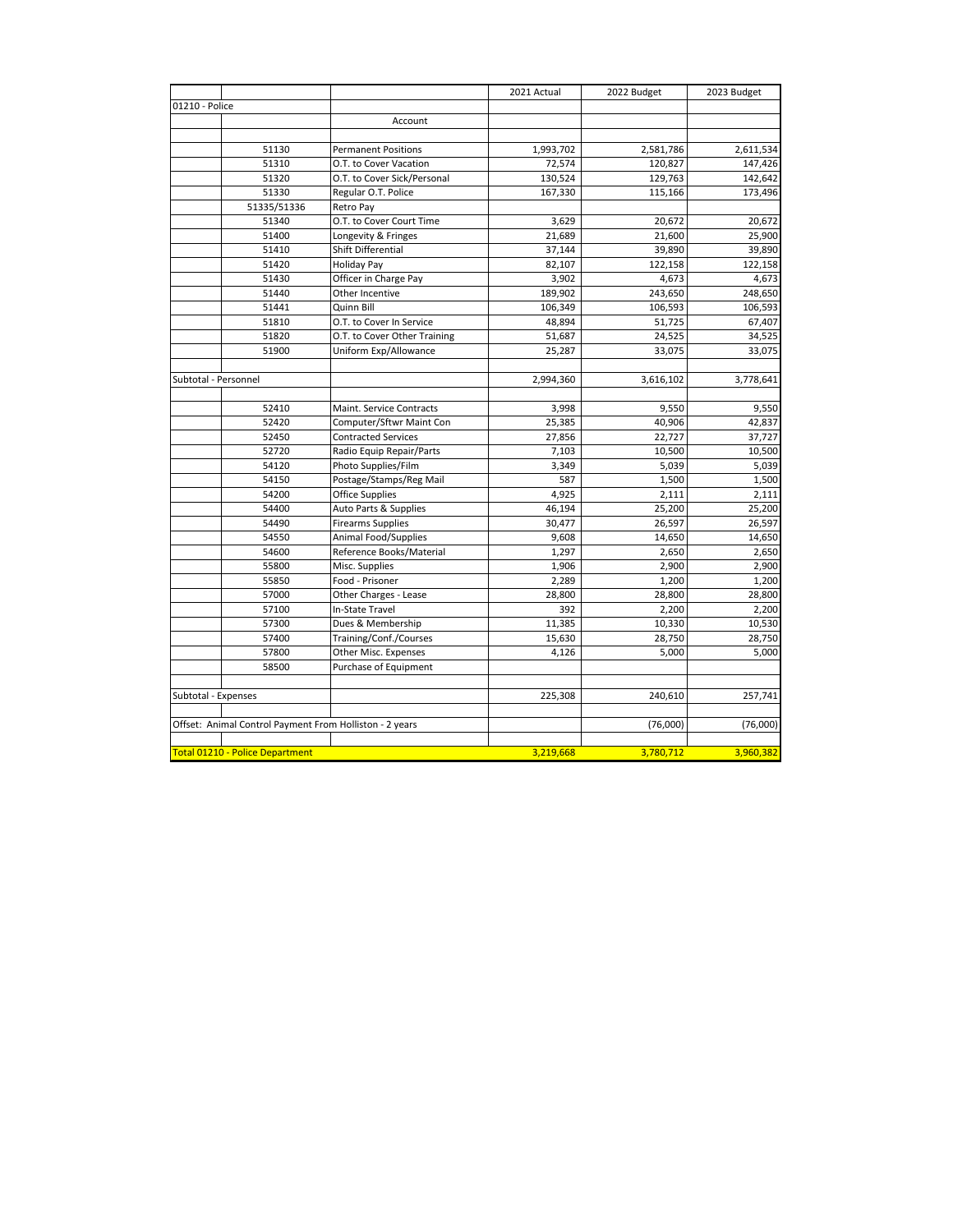|                      |                                 |                                                         | 2021 Actual | 2022 Budget | 2023 Budget |
|----------------------|---------------------------------|---------------------------------------------------------|-------------|-------------|-------------|
| 01210 - Police       |                                 |                                                         |             |             |             |
|                      |                                 | Account                                                 |             |             |             |
|                      |                                 |                                                         |             |             |             |
|                      | 51130                           | <b>Permanent Positions</b>                              | 1,993,702   | 2,581,786   | 2,611,534   |
|                      | 51310                           | O.T. to Cover Vacation                                  | 72,574      | 120,827     | 147,426     |
|                      | 51320                           | O.T. to Cover Sick/Personal                             | 130,524     | 129,763     | 142,642     |
|                      | 51330                           | Regular O.T. Police                                     | 167,330     | 115,166     | 173,496     |
|                      | 51335/51336                     | Retro Pay                                               |             |             |             |
|                      | 51340                           | O.T. to Cover Court Time                                | 3,629       | 20,672      | 20,672      |
|                      | 51400                           | Longevity & Fringes                                     | 21,689      | 21,600      | 25,900      |
|                      | 51410                           | Shift Differential                                      | 37,144      | 39,890      | 39,890      |
|                      | 51420                           | <b>Holiday Pay</b>                                      | 82,107      | 122,158     | 122,158     |
|                      | 51430                           | Officer in Charge Pay                                   | 3,902       | 4,673       | 4,673       |
|                      | 51440                           | Other Incentive                                         | 189,902     | 243,650     | 248,650     |
|                      | 51441                           | Quinn Bill                                              | 106,349     | 106,593     | 106,593     |
|                      | 51810                           | O.T. to Cover In Service                                | 48,894      | 51,725      | 67,407      |
|                      | 51820                           | O.T. to Cover Other Training                            | 51,687      | 24,525      | 34,525      |
|                      | 51900                           | Uniform Exp/Allowance                                   | 25,287      | 33,075      | 33,075      |
|                      |                                 |                                                         |             |             |             |
| Subtotal - Personnel |                                 |                                                         | 2,994,360   | 3,616,102   | 3,778,641   |
|                      |                                 |                                                         |             |             |             |
|                      | 52410                           | Maint. Service Contracts                                | 3,998       | 9,550       | 9,550       |
|                      | 52420                           | Computer/Sftwr Maint Con                                | 25,385      | 40,906      | 42,837      |
|                      | 52450                           | <b>Contracted Services</b>                              | 27,856      | 22,727      | 37,727      |
|                      | 52720                           | Radio Equip Repair/Parts                                | 7,103       | 10,500      | 10,500      |
|                      | 54120                           | Photo Supplies/Film                                     | 3,349       | 5,039       | 5,039       |
|                      | 54150                           | Postage/Stamps/Reg Mail                                 | 587         | 1,500       | 1,500       |
|                      | 54200                           | Office Supplies                                         | 4,925       | 2,111       | 2,111       |
|                      | 54400                           | Auto Parts & Supplies                                   | 46,194      | 25,200      | 25,200      |
|                      | 54490                           | <b>Firearms Supplies</b>                                | 30,477      | 26.597      | 26,597      |
|                      | 54550                           | Animal Food/Supplies                                    | 9,608       | 14,650      | 14,650      |
|                      | 54600                           | Reference Books/Material                                | 1,297       | 2,650       | 2,650       |
|                      | 55800                           | Misc. Supplies                                          | 1,906       | 2,900       | 2,900       |
|                      | 55850                           | Food - Prisoner                                         | 2,289       | 1,200       | 1,200       |
|                      | 57000                           | Other Charges - Lease                                   | 28,800      | 28,800      | 28,800      |
|                      | 57100                           | In-State Travel                                         | 392         | 2,200       | 2,200       |
|                      | 57300                           | Dues & Membership                                       | 11,385      | 10,330      | 10,530      |
|                      | 57400                           | Training/Conf./Courses                                  | 15,630      | 28,750      | 28,750      |
|                      | 57800                           | Other Misc. Expenses                                    | 4,126       | 5,000       | 5,000       |
|                      | 58500                           | Purchase of Equipment                                   |             |             |             |
| Subtotal - Expenses  |                                 |                                                         | 225,308     | 240,610     | 257,741     |
|                      |                                 |                                                         |             |             |             |
|                      |                                 | Offset: Animal Control Payment From Holliston - 2 years |             | (76,000)    | (76,000)    |
|                      |                                 |                                                         |             |             |             |
|                      | Total 01210 - Police Department |                                                         | 3,219,668   | 3,780,712   | 3,960,382   |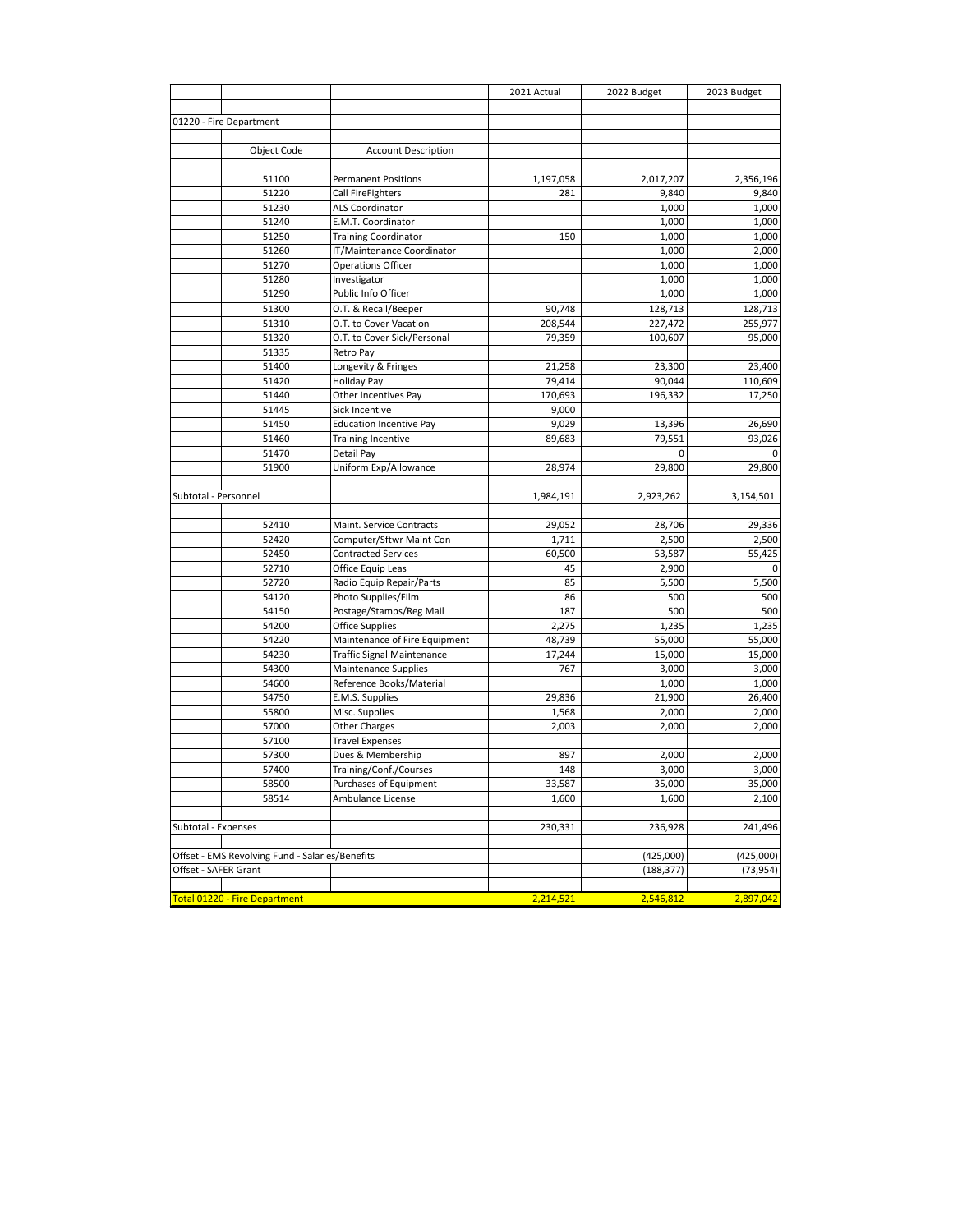|                      |                                                 |                                   | 2021 Actual | 2022 Budget | 2023 Budget |
|----------------------|-------------------------------------------------|-----------------------------------|-------------|-------------|-------------|
|                      |                                                 |                                   |             |             |             |
|                      | 01220 - Fire Department                         |                                   |             |             |             |
|                      |                                                 |                                   |             |             |             |
|                      | Object Code                                     | <b>Account Description</b>        |             |             |             |
|                      |                                                 |                                   |             |             |             |
|                      | 51100                                           | <b>Permanent Positions</b>        | 1,197,058   | 2,017,207   | 2,356,196   |
|                      | 51220                                           | Call FireFighters                 | 281         | 9,840       | 9,840       |
|                      | 51230                                           | <b>ALS Coordinator</b>            |             | 1,000       | 1,000       |
|                      | 51240                                           | E.M.T. Coordinator                |             | 1,000       | 1,000       |
|                      | 51250                                           | <b>Training Coordinator</b>       | 150         | 1,000       | 1,000       |
|                      | 51260                                           | IT/Maintenance Coordinator        |             | 1,000       | 2,000       |
|                      | 51270                                           | <b>Operations Officer</b>         |             | 1,000       | 1,000       |
|                      | 51280                                           | Investigator                      |             | 1,000       | 1,000       |
|                      | 51290                                           | Public Info Officer               |             | 1,000       | 1,000       |
|                      | 51300                                           | O.T. & Recall/Beeper              | 90,748      | 128,713     | 128,713     |
|                      | 51310                                           | O.T. to Cover Vacation            | 208,544     | 227,472     | 255,977     |
|                      | 51320                                           | O.T. to Cover Sick/Personal       | 79,359      | 100,607     | 95,000      |
|                      | 51335                                           | Retro Pay                         |             |             |             |
|                      | 51400                                           | Longevity & Fringes               | 21,258      | 23,300      | 23,400      |
|                      | 51420                                           | Holiday Pay                       | 79,414      | 90,044      | 110,609     |
|                      | 51440                                           | Other Incentives Pay              | 170,693     | 196,332     | 17,250      |
|                      | 51445                                           | Sick Incentive                    | 9,000       |             |             |
|                      | 51450                                           | <b>Education Incentive Pay</b>    | 9,029       | 13,396      | 26,690      |
|                      | 51460                                           | <b>Training Incentive</b>         | 89,683      | 79,551      | 93.026      |
|                      | 51470                                           | Detail Pay                        |             | 0           | 0           |
|                      | 51900                                           | Uniform Exp/Allowance             | 28,974      | 29,800      | 29,800      |
|                      |                                                 |                                   |             |             |             |
| Subtotal - Personnel |                                                 |                                   | 1,984,191   | 2,923,262   | 3,154,501   |
|                      |                                                 |                                   |             |             |             |
|                      | 52410                                           | Maint. Service Contracts          | 29,052      | 28,706      | 29,336      |
|                      | 52420                                           | Computer/Sftwr Maint Con          | 1,711       | 2,500       | 2,500       |
|                      | 52450                                           | <b>Contracted Services</b>        | 60,500      | 53,587      | 55,425      |
|                      | 52710                                           | Office Equip Leas                 | 45          | 2,900       | 0           |
|                      | 52720                                           | Radio Equip Repair/Parts          | 85          | 5,500       | 5,500       |
|                      | 54120                                           | Photo Supplies/Film               | 86          | 500         | 500         |
|                      | 54150                                           | Postage/Stamps/Reg Mail           | 187         | 500         | 500         |
|                      | 54200                                           | <b>Office Supplies</b>            | 2,275       | 1,235       | 1,235       |
|                      | 54220                                           | Maintenance of Fire Equipment     | 48,739      | 55,000      | 55,000      |
|                      | 54230                                           | <b>Traffic Signal Maintenance</b> | 17,244      | 15,000      | 15,000      |
|                      | 54300                                           | <b>Maintenance Supplies</b>       | 767         | 3,000       | 3,000       |
|                      | 54600                                           | Reference Books/Material          |             | 1,000       | 1,000       |
|                      | 54750                                           | E.M.S. Supplies                   | 29,836      | 21,900      | 26,400      |
|                      | 55800                                           | Misc. Supplies                    | 1,568       | 2,000       | 2,000       |
|                      | 57000                                           | Other Charges                     | 2,003       | 2,000       | 2,000       |
|                      | 57100                                           | <b>Travel Expenses</b>            |             |             |             |
|                      | 57300                                           | Dues & Membership                 | 897         | 2,000       | 2,000       |
|                      | 57400                                           | Training/Conf./Courses            | 148         | 3,000       | 3,000       |
|                      | 58500                                           | Purchases of Equipment            | 33,587      | 35,000      | 35,000      |
|                      | 58514                                           | Ambulance License                 | 1,600       | 1,600       | 2,100       |
|                      |                                                 |                                   |             |             |             |
| Subtotal - Expenses  |                                                 |                                   | 230,331     | 236,928     | 241,496     |
|                      |                                                 |                                   |             |             |             |
|                      | Offset - EMS Revolving Fund - Salaries/Benefits |                                   |             | (425,000)   | (425,000)   |
| Offset - SAFER Grant |                                                 |                                   |             | (188, 377)  | (73, 954)   |
|                      |                                                 |                                   |             |             |             |
|                      | Total 01220 - Fire Department                   |                                   | 2,214,521   | 2,546,812   | 2,897,042   |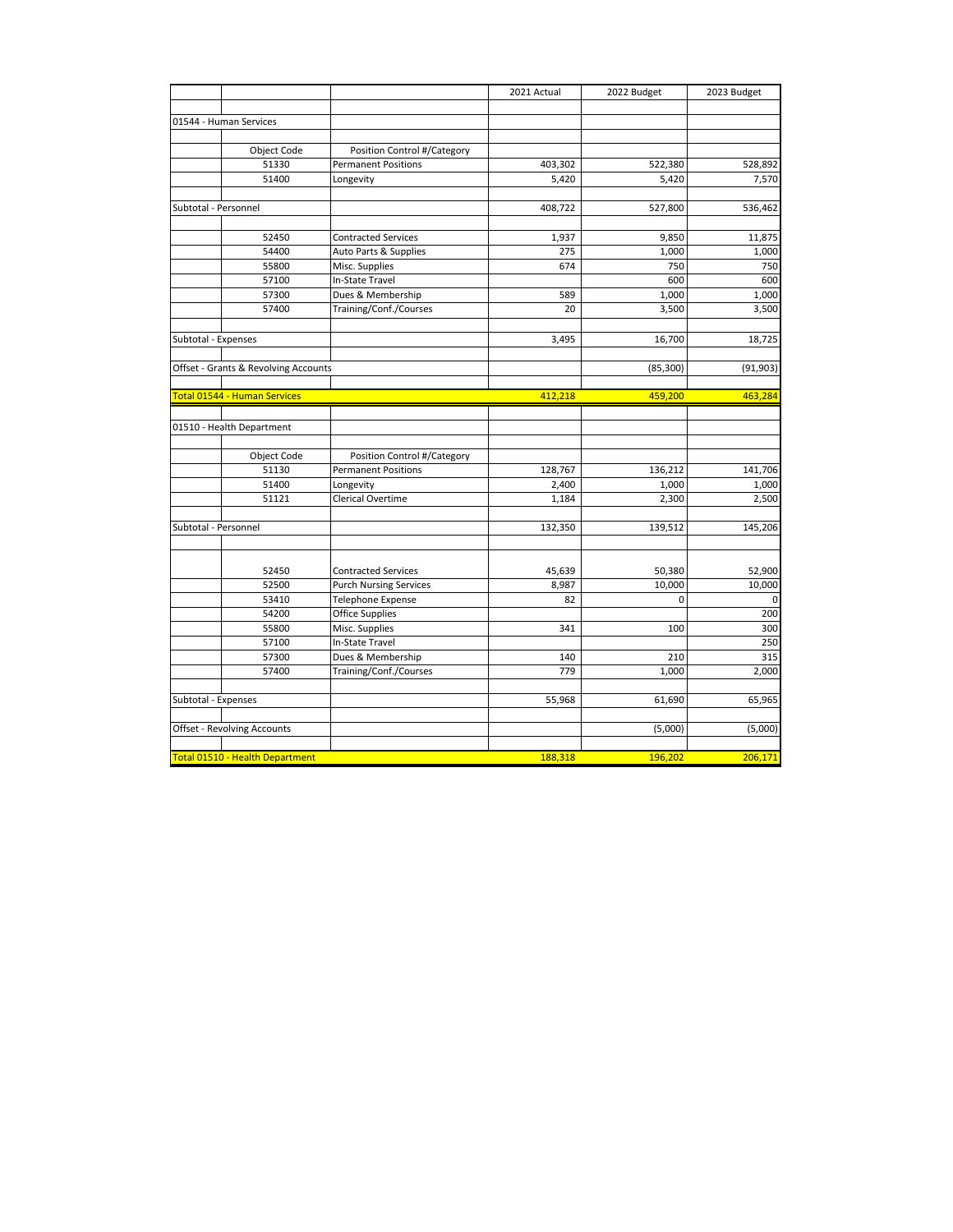|                      |                                        |                               | 2021 Actual | 2022 Budget | 2023 Budget |
|----------------------|----------------------------------------|-------------------------------|-------------|-------------|-------------|
|                      | 01544 - Human Services                 |                               |             |             |             |
|                      |                                        |                               |             |             |             |
|                      | Object Code                            | Position Control #/Category   |             |             |             |
|                      | 51330                                  | <b>Permanent Positions</b>    | 403,302     | 522,380     | 528,892     |
|                      | 51400                                  | Longevity                     | 5,420       | 5,420       | 7,570       |
|                      |                                        |                               |             |             |             |
| Subtotal - Personnel |                                        |                               | 408,722     | 527,800     | 536,462     |
|                      |                                        |                               |             |             |             |
|                      | 52450                                  | <b>Contracted Services</b>    | 1,937       | 9,850       | 11,875      |
|                      | 54400                                  | Auto Parts & Supplies         | 275         | 1,000       | 1,000       |
|                      | 55800                                  | Misc. Supplies                | 674         | 750         | 750         |
|                      | 57100                                  | In-State Travel               |             | 600         | 600         |
|                      | 57300                                  | Dues & Membership             | 589         | 1,000       | 1,000       |
|                      | 57400                                  | Training/Conf./Courses        | 20          | 3,500       | 3,500       |
|                      |                                        |                               |             |             |             |
| Subtotal - Expenses  |                                        |                               | 3,495       | 16,700      | 18,725      |
|                      |                                        |                               |             |             |             |
|                      | Offset - Grants & Revolving Accounts   |                               |             | (85, 300)   | (91, 903)   |
|                      | Total 01544 - Human Services           |                               | 412,218     | 459,200     | 463,284     |
|                      |                                        |                               |             |             |             |
|                      | 01510 - Health Department              |                               |             |             |             |
|                      |                                        |                               |             |             |             |
|                      | Object Code                            | Position Control #/Category   |             |             |             |
|                      | 51130                                  | <b>Permanent Positions</b>    | 128,767     | 136,212     | 141,706     |
|                      | 51400                                  | Longevity                     | 2,400       | 1,000       | 1,000       |
|                      | 51121                                  | Clerical Overtime             | 1,184       | 2,300       | 2,500       |
|                      |                                        |                               |             |             |             |
| Subtotal - Personnel |                                        |                               | 132,350     | 139,512     | 145,206     |
|                      |                                        |                               |             |             |             |
|                      |                                        |                               |             |             |             |
|                      | 52450                                  | <b>Contracted Services</b>    | 45,639      | 50,380      | 52,900      |
|                      | 52500                                  | <b>Purch Nursing Services</b> | 8,987       | 10,000      | 10,000      |
|                      | 53410                                  | <b>Telephone Expense</b>      | 82          | $\Omega$    | $\mathbf 0$ |
|                      | 54200                                  | <b>Office Supplies</b>        |             |             | 200         |
|                      | 55800                                  | Misc. Supplies                | 341         | 100         | 300         |
|                      | 57100                                  | In-State Travel               |             |             | 250         |
|                      | 57300                                  | Dues & Membership             | 140         | 210         | 315         |
|                      | 57400                                  | Training/Conf./Courses        | 779         | 1,000       | 2,000       |
|                      |                                        |                               |             |             |             |
| Subtotal - Expenses  |                                        |                               | 55,968      | 61,690      | 65,965      |
|                      | Offset - Revolving Accounts            |                               |             | (5,000)     | (5,000)     |
|                      |                                        |                               |             |             |             |
|                      | <b>Total 01510 - Health Department</b> |                               | 188,318     | 196,202     | 206,171     |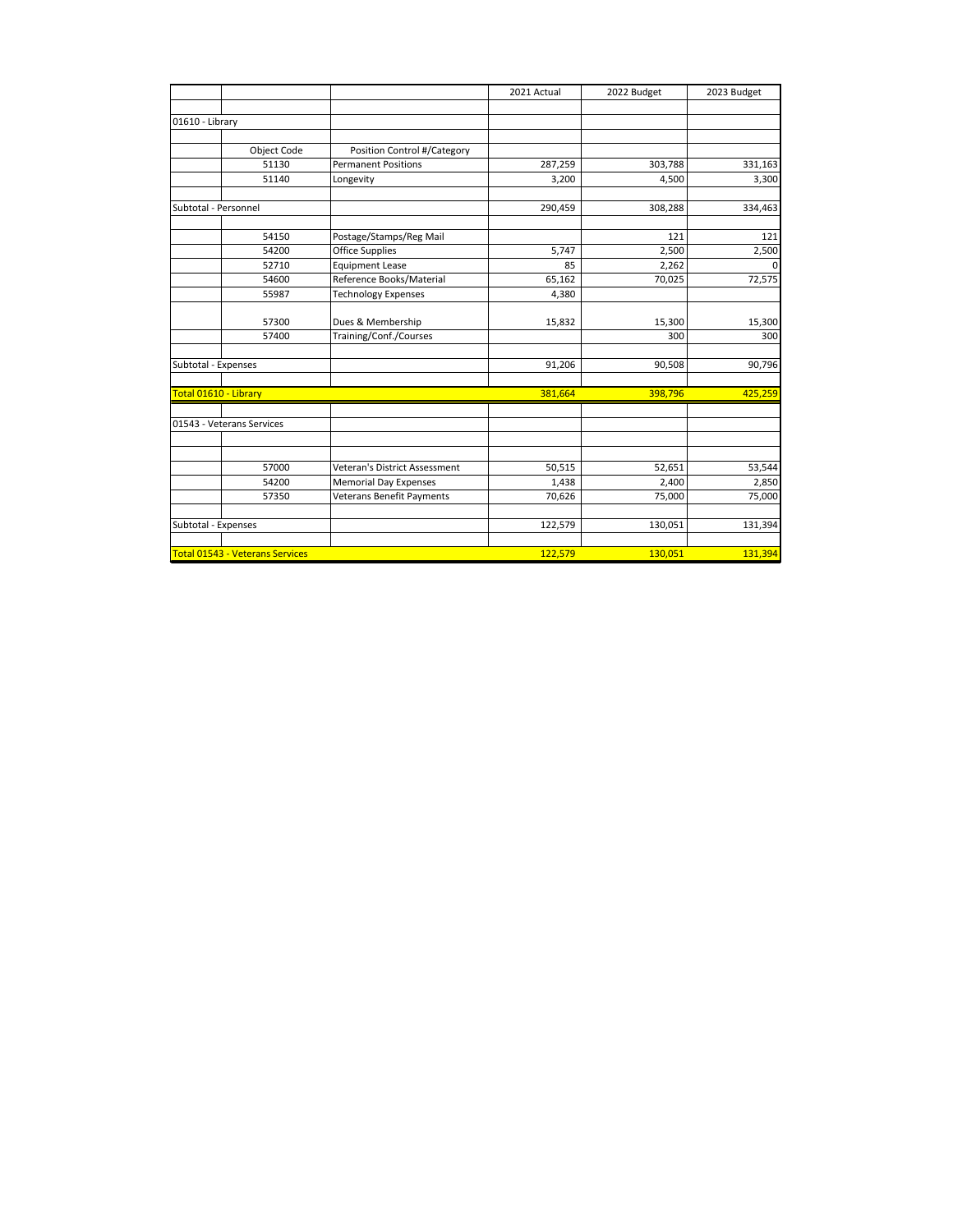|                       |                                        |                               | 2021 Actual | 2022 Budget | 2023 Budget    |
|-----------------------|----------------------------------------|-------------------------------|-------------|-------------|----------------|
|                       |                                        |                               |             |             |                |
| 01610 - Library       |                                        |                               |             |             |                |
|                       |                                        |                               |             |             |                |
|                       | Object Code                            | Position Control #/Category   |             |             |                |
|                       | 51130                                  | <b>Permanent Positions</b>    | 287,259     | 303,788     | 331,163        |
|                       | 51140                                  | Longevity                     | 3,200       | 4,500       | 3,300          |
| Subtotal - Personnel  |                                        |                               | 290,459     | 308,288     | 334,463        |
|                       | 54150                                  | Postage/Stamps/Reg Mail       |             | 121         | 121            |
|                       | 54200                                  | Office Supplies               | 5,747       | 2,500       | 2,500          |
|                       | 52710                                  | <b>Equipment Lease</b>        | 85          | 2,262       | $\overline{0}$ |
|                       | 54600                                  | Reference Books/Material      | 65,162      | 70,025      | 72,575         |
|                       | 55987                                  | <b>Technology Expenses</b>    | 4,380       |             |                |
|                       | 57300                                  | Dues & Membership             | 15,832      | 15,300      | 15,300         |
|                       | 57400                                  | Training/Conf./Courses        |             | 300         | 300            |
|                       |                                        |                               |             |             |                |
| Subtotal - Expenses   |                                        |                               | 91,206      | 90,508      | 90,796         |
| Total 01610 - Library |                                        |                               | 381,664     | 398,796     | 425,259        |
|                       | 01543 - Veterans Services              |                               |             |             |                |
|                       |                                        |                               |             |             |                |
|                       | 57000                                  | Veteran's District Assessment | 50,515      | 52,651      | 53,544         |
|                       | 54200                                  | <b>Memorial Day Expenses</b>  | 1,438       | 2,400       | 2,850          |
|                       | 57350                                  | Veterans Benefit Payments     | 70,626      | 75,000      | 75,000         |
|                       |                                        |                               |             |             |                |
| Subtotal - Expenses   |                                        |                               | 122,579     | 130,051     | 131,394        |
|                       |                                        |                               |             |             |                |
|                       | <b>Total 01543 - Veterans Services</b> |                               | 122,579     | 130,051     | 131,394        |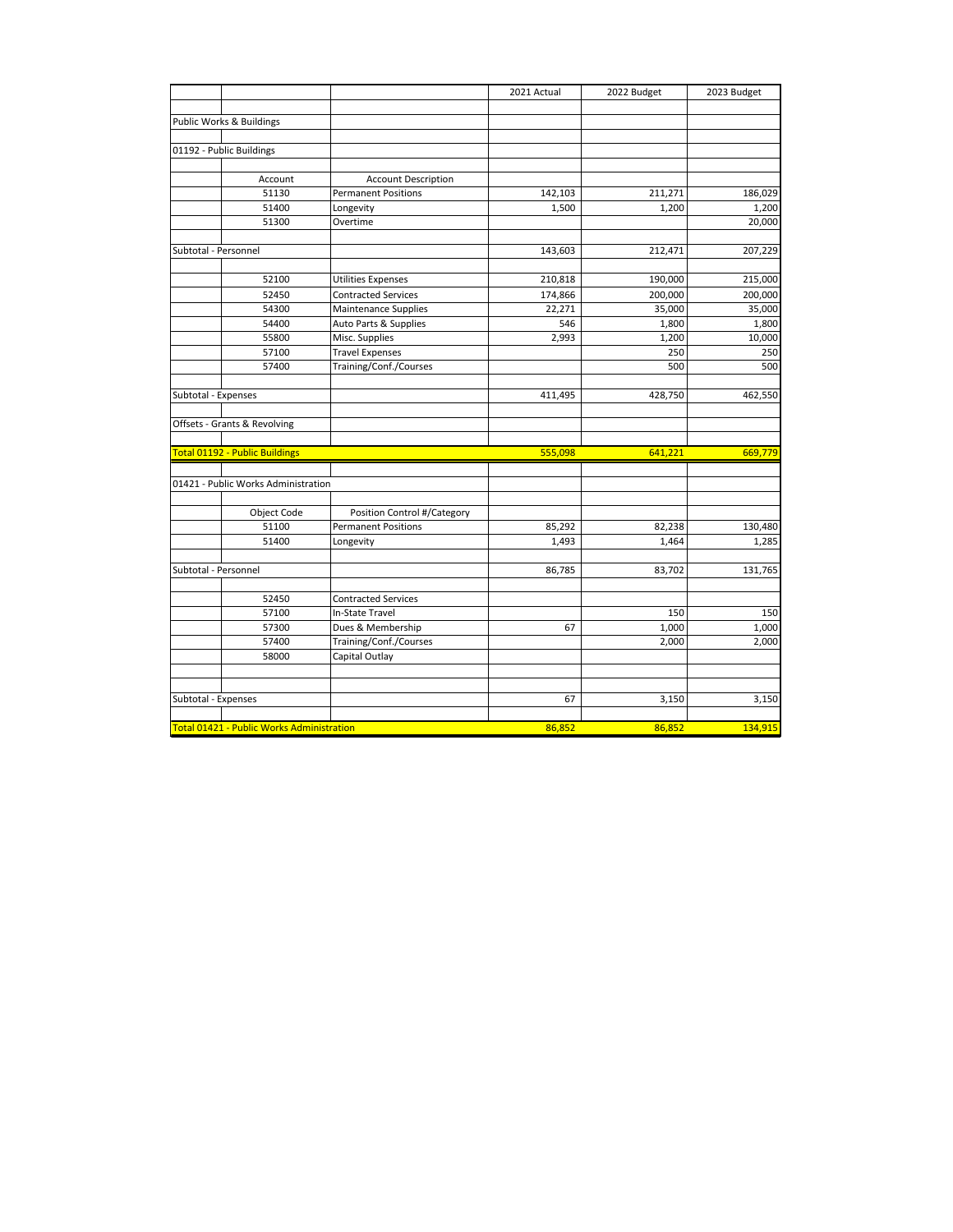|                                                  |                             | 2021 Actual | 2022 Budget | 2023 Budget |
|--------------------------------------------------|-----------------------------|-------------|-------------|-------------|
|                                                  |                             |             |             |             |
| Public Works & Buildings                         |                             |             |             |             |
| 01192 - Public Buildings                         |                             |             |             |             |
|                                                  |                             |             |             |             |
| Account                                          | <b>Account Description</b>  |             |             |             |
| 51130                                            | <b>Permanent Positions</b>  | 142,103     | 211,271     | 186,029     |
| 51400                                            | Longevity                   | 1,500       | 1,200       | 1,200       |
| 51300                                            | Overtime                    |             |             | 20,000      |
|                                                  |                             |             |             |             |
| Subtotal - Personnel                             |                             | 143,603     | 212,471     | 207,229     |
|                                                  |                             |             |             |             |
| 52100                                            | Utilities Expenses          | 210,818     | 190,000     | 215,000     |
| 52450                                            | <b>Contracted Services</b>  | 174,866     | 200,000     | 200,000     |
| 54300                                            | <b>Maintenance Supplies</b> | 22,271      | 35,000      | 35,000      |
| 54400                                            | Auto Parts & Supplies       | 546         | 1,800       | 1,800       |
| 55800                                            | Misc. Supplies              | 2,993       | 1,200       | 10,000      |
| 57100                                            | <b>Travel Expenses</b>      |             | 250         | 250         |
| 57400                                            | Training/Conf./Courses      |             | 500         | 500         |
|                                                  |                             |             |             |             |
| Subtotal - Expenses                              |                             | 411,495     | 428,750     | 462,550     |
|                                                  |                             |             |             |             |
| Offsets - Grants & Revolving                     |                             |             |             |             |
| Total 01192 - Public Buildings                   |                             | 555,098     | 641,221     | 669,779     |
|                                                  |                             |             |             |             |
| 01421 - Public Works Administration              |                             |             |             |             |
|                                                  |                             |             |             |             |
| Object Code                                      | Position Control #/Category |             |             |             |
| 51100                                            | <b>Permanent Positions</b>  | 85,292      | 82,238      | 130,480     |
| 51400                                            | Longevity                   | 1,493       | 1,464       | 1,285       |
| Subtotal - Personnel                             |                             |             |             |             |
|                                                  |                             | 86,785      | 83,702      | 131,765     |
| 52450                                            | <b>Contracted Services</b>  |             |             |             |
| 57100                                            | In-State Travel             |             | 150         | 150         |
| 57300                                            | Dues & Membership           | 67          | 1,000       | 1,000       |
| 57400                                            | Training/Conf./Courses      |             | 2,000       | 2,000       |
| 58000                                            | Capital Outlay              |             |             |             |
|                                                  |                             |             |             |             |
|                                                  |                             |             |             |             |
| Subtotal - Expenses                              |                             | 67          | 3,150       | 3,150       |
|                                                  |                             |             |             |             |
| <b>Total 01421 - Public Works Administration</b> |                             | 86,852      | 86,852      | 134,915     |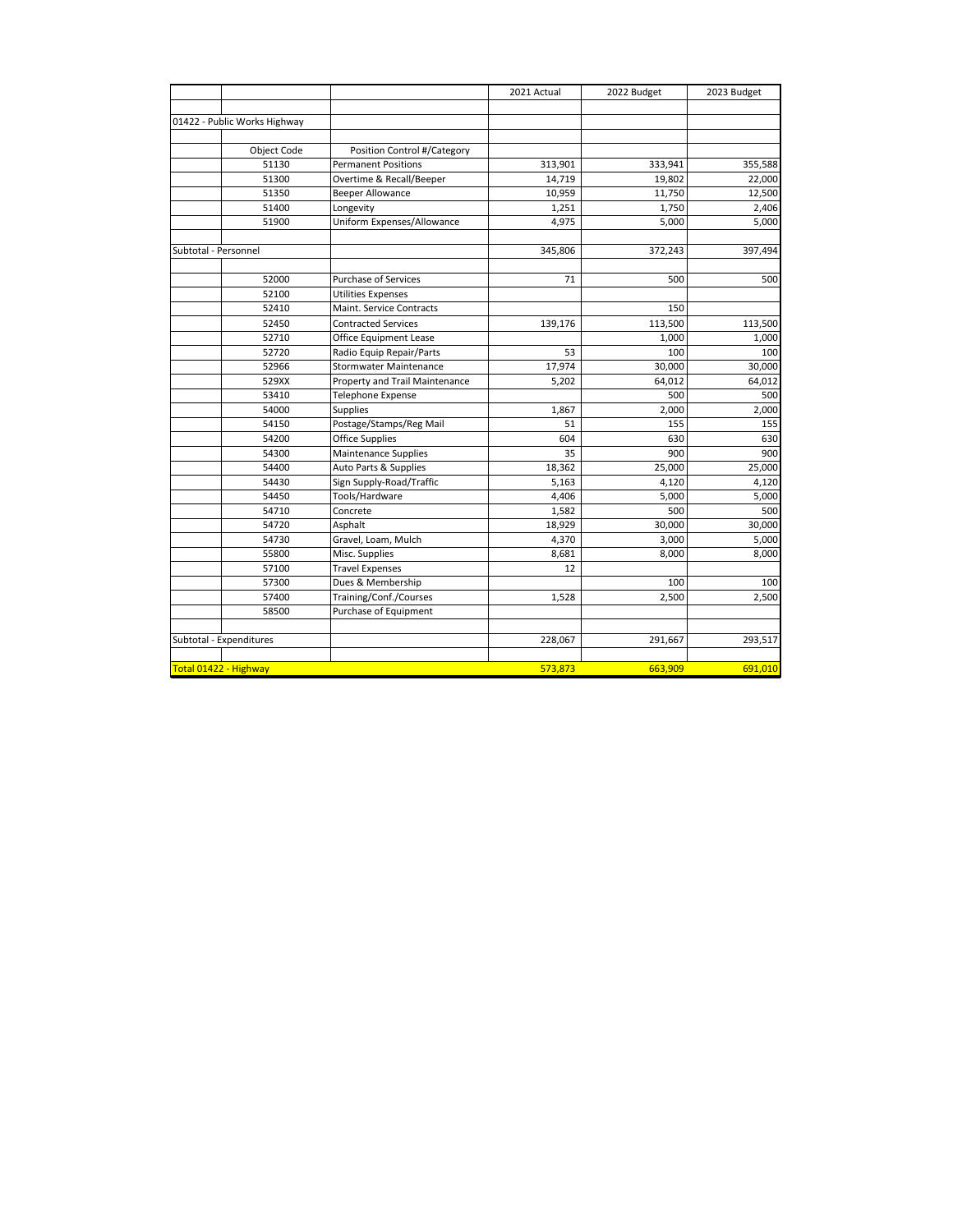|                              |                                | 2021 Actual | 2022 Budget | 2023 Budget |
|------------------------------|--------------------------------|-------------|-------------|-------------|
|                              |                                |             |             |             |
| 01422 - Public Works Highway |                                |             |             |             |
|                              |                                |             |             |             |
| Object Code                  | Position Control #/Category    |             |             |             |
| 51130                        | <b>Permanent Positions</b>     | 313,901     | 333,941     | 355,588     |
| 51300                        | Overtime & Recall/Beeper       | 14,719      | 19,802      | 22,000      |
| 51350                        | <b>Beeper Allowance</b>        | 10,959      | 11,750      | 12,500      |
| 51400                        | Longevity                      | 1,251       | 1,750       | 2,406       |
| 51900                        | Uniform Expenses/Allowance     | 4,975       | 5,000       | 5,000       |
| Subtotal - Personnel         |                                | 345,806     | 372,243     | 397,494     |
|                              |                                |             |             |             |
| 52000                        | <b>Purchase of Services</b>    | 71          | 500         | 500         |
| 52100                        | <b>Utilities Expenses</b>      |             |             |             |
| 52410                        | Maint. Service Contracts       |             | 150         |             |
| 52450                        | <b>Contracted Services</b>     | 139,176     | 113,500     | 113,500     |
| 52710                        | Office Equipment Lease         |             | 1,000       | 1,000       |
| 52720                        | Radio Equip Repair/Parts       | 53          | 100         | 100         |
| 52966                        | <b>Stormwater Maintenance</b>  | 17,974      | 30,000      | 30,000      |
| 529XX                        | Property and Trail Maintenance | 5,202       | 64,012      | 64,012      |
| 53410                        | <b>Telephone Expense</b>       |             | 500         | 500         |
| 54000                        | <b>Supplies</b>                | 1,867       | 2,000       | 2,000       |
| 54150                        | Postage/Stamps/Reg Mail        | 51          | 155         | 155         |
| 54200                        | Office Supplies                | 604         | 630         | 630         |
| 54300                        | Maintenance Supplies           | 35          | 900         | 900         |
| 54400                        | Auto Parts & Supplies          | 18,362      | 25,000      | 25,000      |
| 54430                        | Sign Supply-Road/Traffic       | 5,163       | 4,120       | 4,120       |
| 54450                        | Tools/Hardware                 | 4,406       | 5,000       | 5,000       |
| 54710                        | Concrete                       | 1,582       | 500         | 500         |
| 54720                        | Asphalt                        | 18,929      | 30,000      | 30,000      |
| 54730                        | Gravel, Loam, Mulch            | 4,370       | 3,000       | 5,000       |
| 55800                        | Misc. Supplies                 | 8,681       | 8,000       | 8,000       |
| 57100                        | <b>Travel Expenses</b>         | 12          |             |             |
| 57300                        | Dues & Membership              |             | 100         | 100         |
| 57400                        | Training/Conf./Courses         | 1,528       | 2,500       | 2,500       |
| 58500                        | Purchase of Equipment          |             |             |             |
|                              |                                |             |             |             |
| Subtotal - Expenditures      |                                | 228,067     | 291,667     | 293,517     |
| Total 01422 - Highway        |                                | 573.873     | 663.909     | 691,010     |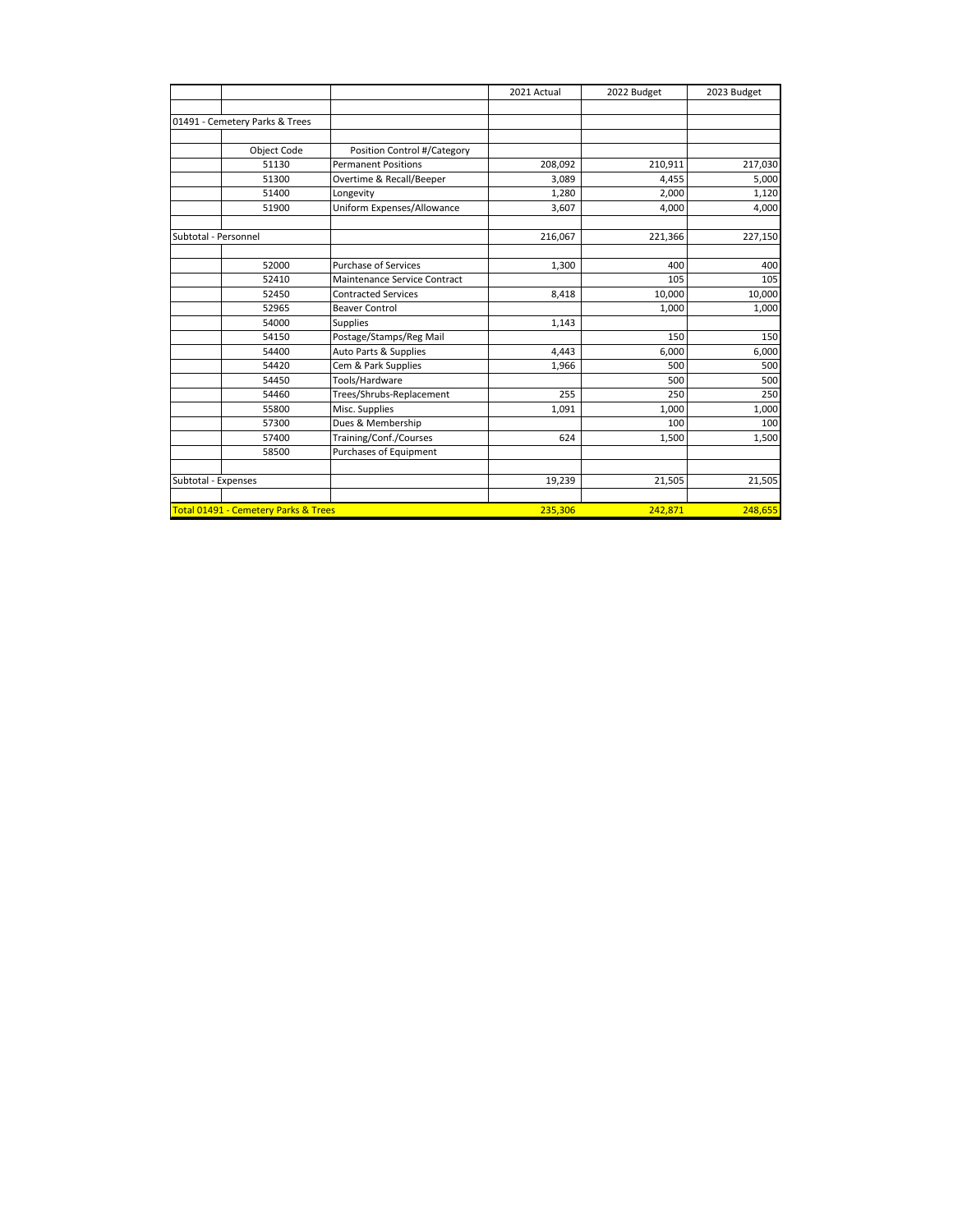|                      |                                      |                              | 2021 Actual | 2022 Budget | 2023 Budget |
|----------------------|--------------------------------------|------------------------------|-------------|-------------|-------------|
|                      |                                      |                              |             |             |             |
|                      | 01491 - Cemetery Parks & Trees       |                              |             |             |             |
|                      |                                      |                              |             |             |             |
|                      | Object Code                          | Position Control #/Category  |             |             |             |
|                      | 51130                                | <b>Permanent Positions</b>   | 208,092     | 210,911     | 217,030     |
|                      | 51300                                | Overtime & Recall/Beeper     | 3,089       | 4,455       | 5,000       |
|                      | 51400                                | Longevity                    | 1,280       | 2,000       | 1,120       |
|                      | 51900                                | Uniform Expenses/Allowance   | 3,607       | 4,000       | 4,000       |
| Subtotal - Personnel |                                      |                              | 216,067     | 221,366     | 227,150     |
|                      | 52000                                | <b>Purchase of Services</b>  | 1,300       | 400         | 400         |
|                      | 52410                                | Maintenance Service Contract |             | 105         | 105         |
|                      | 52450                                | <b>Contracted Services</b>   | 8,418       | 10,000      | 10,000      |
|                      | 52965                                | <b>Beaver Control</b>        |             | 1,000       | 1,000       |
|                      | 54000                                | <b>Supplies</b>              | 1,143       |             |             |
|                      | 54150                                | Postage/Stamps/Reg Mail      |             | 150         | 150         |
|                      | 54400                                | Auto Parts & Supplies        | 4,443       | 6,000       | 6,000       |
|                      | 54420                                | Cem & Park Supplies          | 1,966       | 500         | 500         |
|                      | 54450                                | Tools/Hardware               |             | 500         | 500         |
|                      | 54460                                | Trees/Shrubs-Replacement     | 255         | 250         | 250         |
|                      | 55800                                | Misc. Supplies               | 1,091       | 1,000       | 1,000       |
|                      | 57300                                | Dues & Membership            |             | 100         | 100         |
|                      | 57400                                | Training/Conf./Courses       | 624         | 1,500       | 1,500       |
|                      | 58500                                | Purchases of Equipment       |             |             |             |
| Subtotal - Expenses  |                                      |                              | 19,239      | 21,505      | 21,505      |
|                      |                                      |                              |             |             |             |
|                      | Total 01491 - Cemetery Parks & Trees |                              | 235,306     | 242,871     | 248,655     |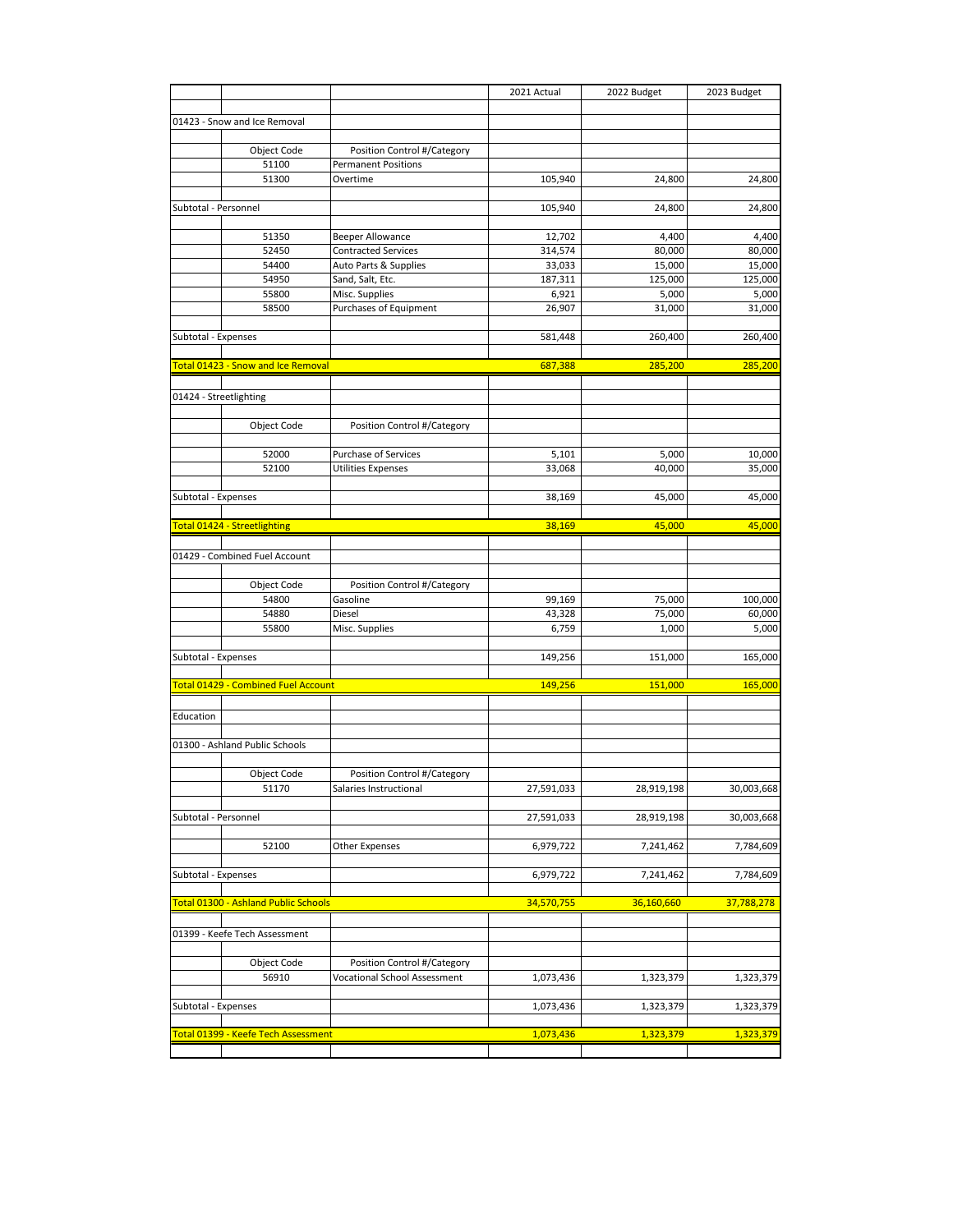|                      |                                      |                                                           | 2021 Actual | 2022 Budget | 2023 Budget |
|----------------------|--------------------------------------|-----------------------------------------------------------|-------------|-------------|-------------|
|                      |                                      |                                                           |             |             |             |
|                      | 01423 - Snow and Ice Removal         |                                                           |             |             |             |
|                      |                                      |                                                           |             |             |             |
|                      | Object Code<br>51100                 | Position Control #/Category<br><b>Permanent Positions</b> |             |             |             |
|                      | 51300                                | Overtime                                                  | 105,940     | 24,800      | 24,800      |
|                      |                                      |                                                           |             |             |             |
| Subtotal - Personnel |                                      |                                                           | 105,940     | 24,800      | 24,800      |
|                      |                                      |                                                           |             |             |             |
|                      | 51350                                | <b>Beeper Allowance</b>                                   | 12,702      | 4,400       | 4,400       |
|                      | 52450                                | <b>Contracted Services</b>                                | 314,574     | 80,000      | 80,000      |
|                      | 54400                                | Auto Parts & Supplies                                     | 33,033      | 15,000      | 15,000      |
|                      | 54950                                | Sand, Salt, Etc.                                          | 187,311     | 125,000     | 125,000     |
|                      | 55800                                | Misc. Supplies                                            | 6,921       | 5,000       | 5,000       |
|                      | 58500                                | Purchases of Equipment                                    | 26,907      | 31,000      | 31,000      |
|                      |                                      |                                                           |             |             |             |
| Subtotal - Expenses  |                                      |                                                           | 581,448     | 260,400     | 260,400     |
|                      |                                      |                                                           |             |             |             |
|                      | Total 01423 - Snow and Ice Removal   |                                                           | 687,388     | 285,200     | 285,200     |
|                      | 01424 - Streetlighting               |                                                           |             |             |             |
|                      |                                      |                                                           |             |             |             |
|                      | Object Code                          | Position Control #/Category                               |             |             |             |
|                      |                                      |                                                           |             |             |             |
|                      | 52000                                | Purchase of Services                                      | 5,101       | 5,000       | 10,000      |
|                      | 52100                                | <b>Utilities Expenses</b>                                 | 33,068      | 40,000      | 35,000      |
|                      |                                      |                                                           |             |             |             |
| Subtotal - Expenses  |                                      |                                                           | 38,169      | 45,000      | 45,000      |
|                      |                                      |                                                           |             |             |             |
|                      | Total 01424 - Streetlighting         |                                                           | 38,169      | 45,000      | 45,000      |
|                      |                                      |                                                           |             |             |             |
|                      | 01429 - Combined Fuel Account        |                                                           |             |             |             |
|                      |                                      |                                                           |             |             |             |
|                      | Object Code                          | Position Control #/Category                               |             |             |             |
|                      | 54800                                | Gasoline                                                  | 99,169      | 75,000      | 100,000     |
|                      | 54880                                | Diesel                                                    | 43,328      | 75,000      | 60,000      |
|                      | 55800                                | Misc. Supplies                                            | 6,759       | 1,000       | 5,000       |
| Subtotal - Expenses  |                                      |                                                           | 149,256     | 151,000     | 165,000     |
|                      |                                      |                                                           |             |             |             |
|                      | Total 01429 - Combined Fuel Account  |                                                           | 149,256     | 151,000     | 165,000     |
|                      |                                      |                                                           |             |             |             |
| Education            |                                      |                                                           |             |             |             |
|                      |                                      |                                                           |             |             |             |
|                      | 01300 - Ashland Public Schools       |                                                           |             |             |             |
|                      |                                      |                                                           |             |             |             |
|                      | Object Code                          | Position Control #/Category                               |             |             |             |
|                      | 51170                                | Salaries Instructional                                    | 27,591,033  | 28,919,198  | 30,003,668  |
|                      |                                      |                                                           |             |             |             |
| Subtotal - Personnel |                                      |                                                           | 27,591,033  | 28,919,198  | 30,003,668  |
|                      |                                      |                                                           |             |             |             |
|                      | 52100                                | Other Expenses                                            | 6,979,722   | 7,241,462   | 7,784,609   |
| Subtotal - Expenses  |                                      |                                                           | 6,979,722   | 7,241,462   | 7,784,609   |
|                      |                                      |                                                           |             |             |             |
|                      | Total 01300 - Ashland Public Schools |                                                           | 34,570,755  | 36,160,660  | 37,788,278  |
|                      |                                      |                                                           |             |             |             |
|                      | 01399 - Keefe Tech Assessment        |                                                           |             |             |             |
|                      |                                      |                                                           |             |             |             |
|                      | Object Code                          | Position Control #/Category                               |             |             |             |
|                      | 56910                                | Vocational School Assessment                              | 1,073,436   | 1,323,379   | 1,323,379   |
|                      |                                      |                                                           |             |             |             |
| Subtotal - Expenses  |                                      |                                                           | 1,073,436   | 1,323,379   | 1,323,379   |
|                      |                                      |                                                           |             |             |             |
|                      | Total 01399 - Keefe Tech Assessment  |                                                           | 1,073,436   | 1,323,379   | 1,323,379   |
|                      |                                      |                                                           |             |             |             |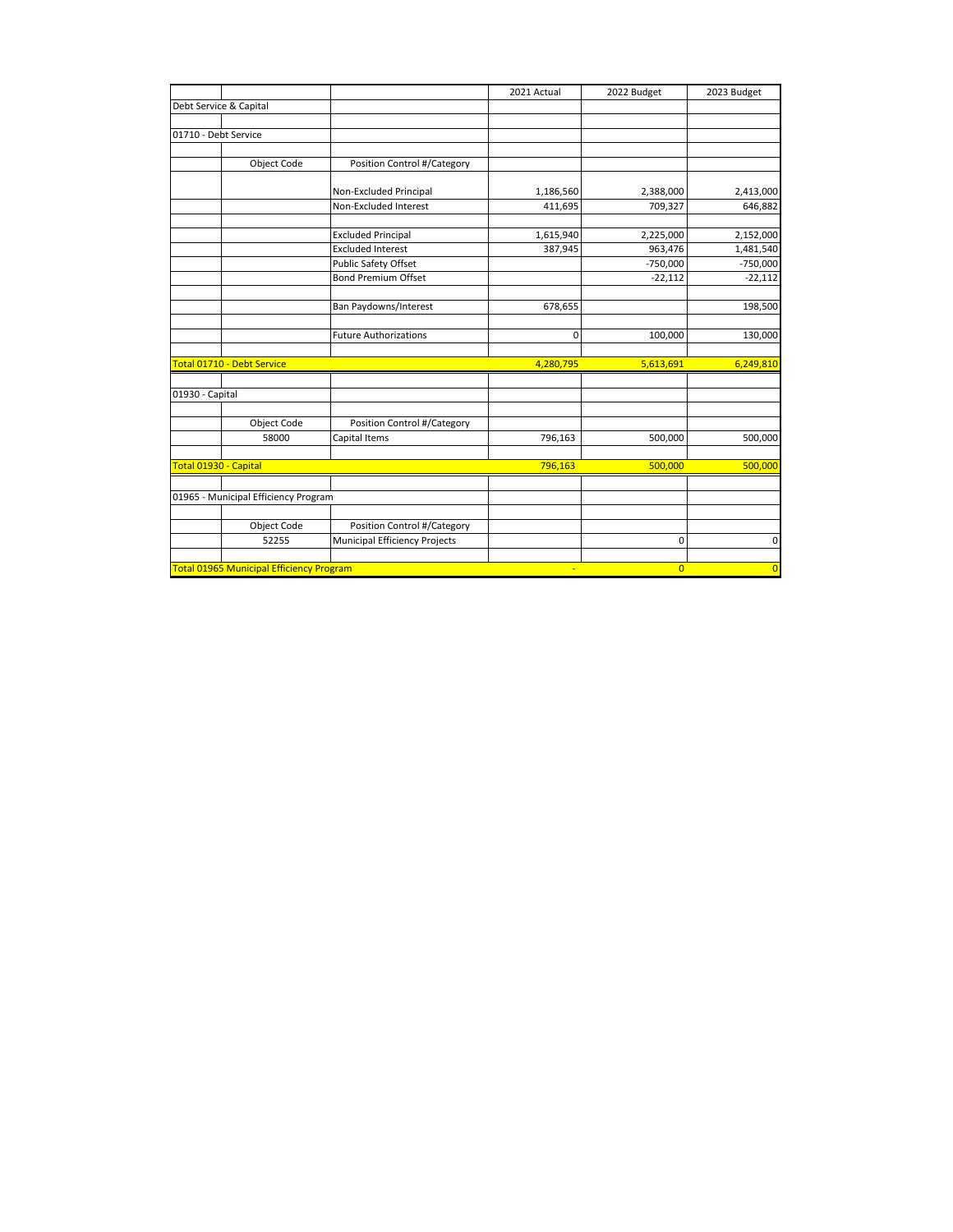|                        |                                                 |                                      | 2021 Actual | 2022 Budget    | 2023 Budget    |
|------------------------|-------------------------------------------------|--------------------------------------|-------------|----------------|----------------|
| Debt Service & Capital |                                                 |                                      |             |                |                |
|                        |                                                 |                                      |             |                |                |
| 01710 - Debt Service   |                                                 |                                      |             |                |                |
|                        |                                                 |                                      |             |                |                |
|                        | Object Code                                     | Position Control #/Category          |             |                |                |
|                        |                                                 |                                      |             |                |                |
|                        |                                                 | Non-Excluded Principal               | 1,186,560   | 2,388,000      | 2,413,000      |
|                        |                                                 | Non-Excluded Interest                | 411,695     | 709,327        | 646,882        |
|                        |                                                 | <b>Excluded Principal</b>            | 1,615,940   | 2,225,000      | 2,152,000      |
|                        |                                                 | <b>Excluded Interest</b>             | 387,945     | 963,476        | 1,481,540      |
|                        |                                                 | Public Safety Offset                 |             | $-750,000$     | $-750,000$     |
|                        |                                                 | <b>Bond Premium Offset</b>           |             | $-22,112$      | $-22,112$      |
|                        |                                                 |                                      |             |                |                |
|                        |                                                 | Ban Paydowns/Interest                | 678,655     |                | 198,500        |
|                        |                                                 |                                      |             |                |                |
|                        |                                                 | <b>Future Authorizations</b>         | $\mathbf 0$ | 100,000        | 130,000        |
|                        | Total 01710 - Debt Service                      |                                      | 4,280,795   | 5,613,691      | 6,249,810      |
|                        |                                                 |                                      |             |                |                |
| 01930 - Capital        |                                                 |                                      |             |                |                |
|                        |                                                 |                                      |             |                |                |
|                        | Object Code                                     | Position Control #/Category          |             |                |                |
|                        | 58000                                           | Capital Items                        | 796,163     | 500,000        | 500,000        |
| Total 01930 - Capital  |                                                 |                                      | 796,163     | 500,000        | 500,000        |
|                        |                                                 |                                      |             |                |                |
|                        | 01965 - Municipal Efficiency Program            |                                      |             |                |                |
|                        |                                                 |                                      |             |                |                |
|                        | Object Code                                     | Position Control #/Category          |             |                |                |
|                        | 52255                                           | <b>Municipal Efficiency Projects</b> |             | 0              | 0              |
|                        |                                                 |                                      |             |                |                |
|                        | <b>Total 01965 Municipal Efficiency Program</b> |                                      | ÷           | $\overline{0}$ | $\overline{0}$ |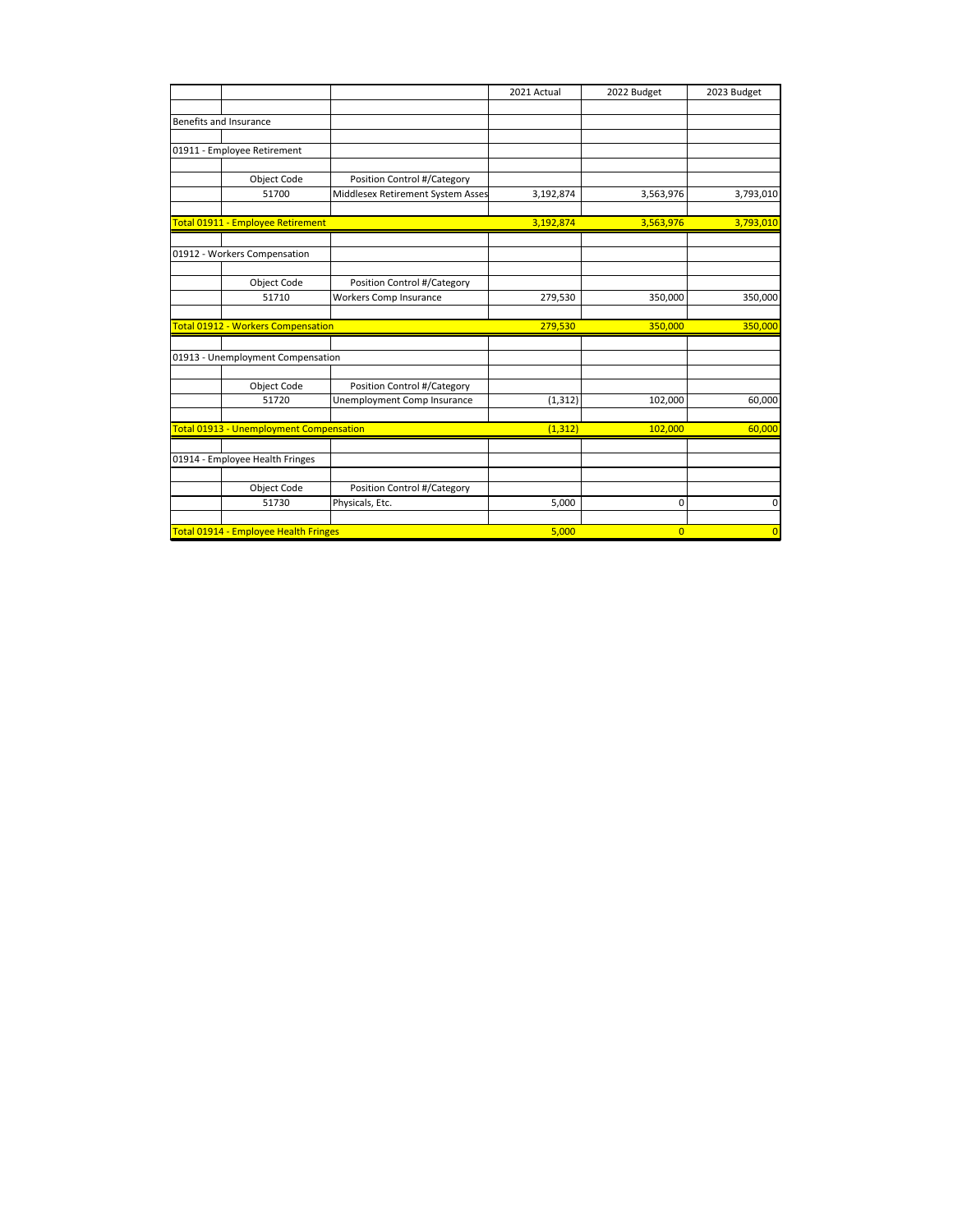|                                         |                                   | 2021 Actual | 2022 Budget    | 2023 Budget    |
|-----------------------------------------|-----------------------------------|-------------|----------------|----------------|
|                                         |                                   |             |                |                |
| Benefits and Insurance                  |                                   |             |                |                |
|                                         |                                   |             |                |                |
| 01911 - Employee Retirement             |                                   |             |                |                |
|                                         |                                   |             |                |                |
| <b>Object Code</b>                      | Position Control #/Category       |             |                |                |
| 51700                                   | Middlesex Retirement System Asses | 3,192,874   | 3,563,976      | 3,793,010      |
|                                         |                                   |             |                |                |
| Total 01911 - Employee Retirement       |                                   | 3,192,874   | 3,563,976      | 3,793,010      |
| 01912 - Workers Compensation            |                                   |             |                |                |
|                                         |                                   |             |                |                |
| Object Code                             | Position Control #/Category       |             |                |                |
| 51710                                   | <b>Workers Comp Insurance</b>     | 279,530     | 350,000        | 350,000        |
| Total 01912 - Workers Compensation      |                                   | 279,530     | 350,000        | 350,000        |
|                                         |                                   |             |                |                |
| 01913 - Unemployment Compensation       |                                   |             |                |                |
| Object Code                             | Position Control #/Category       |             |                |                |
| 51720                                   | Unemployment Comp Insurance       | (1, 312)    | 102,000        | 60,000         |
| Total 01913 - Unemployment Compensation |                                   | (1, 312)    | 102,000        | 60,000         |
|                                         |                                   |             |                |                |
| 01914 - Employee Health Fringes         |                                   |             |                |                |
| Object Code                             | Position Control #/Category       |             |                |                |
| 51730                                   | Physicals, Etc.                   | 5,000       | 0              | 0              |
|                                         |                                   |             |                |                |
| Total 01914 - Employee Health Fringes   |                                   | 5.000       | $\overline{0}$ | $\overline{0}$ |